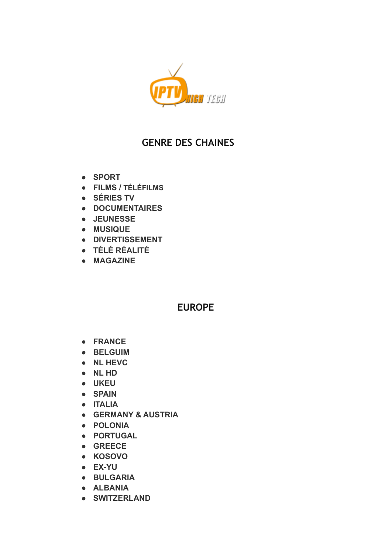

## **GENRE DES CHAINES**

- **● SPORT**
- **● FILMS / TÉLÉFILMS**
- **● SÉRIES TV**
- **● DOCUMENTAIRES**
- **● JEUNESSE**
- **● MUSIQUE**
- **● DIVERTISSEMENT**
- **● TÉLÉ RÉALITÉ**
- **● MAGAZINE**

### **EUROPE**

- **● FRANCE**
- **● BELGUIM**
- **● NL HEVC**
- **● NL HD**
- **● UKEU**
- **● SPAIN**
- **● ITALIA**
- **● GERMANY & AUSTRIA**
- **● POLONIA**
- **● PORTUGAL**
- **● GREECE**
- **● KOSOVO**
- **● EX-YU**
- **● BULGARIA**
- **● ALBANIA**
- **● SWITZERLAND**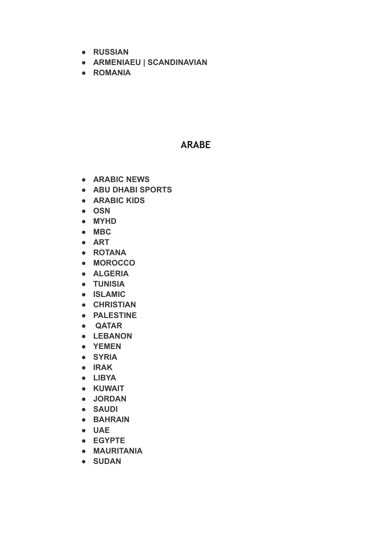- **● RUSSIAN**
- **● ARMENIAEU | SCANDINAVIAN**
- **● ROMANIA**

#### **ARABE**

- **● ARABIC NEWS**
- **● ABU DHABI SPORTS**
- **● ARABIC KIDS**
- **● OSN**
- **● MYHD**
- **● MBC**
- **● ART**
- **● ROTANA**
- **● MOROCCO**
- **● ALGERIA**
- **● TUNISIA**
- **● ISLAMIC**
- **● CHRISTIAN**
- **● PALESTINE**
- **● QATAR**
- **● LEBANON**
- **● YEMEN**
- **● SYRIA**
- **● IRAK**
- **● LIBYA**
- **● KUWAIT**
- **● JORDAN**
- **● SAUDI**
- **● BAHRAIN**
- **● UAE**
- **● EGYPTE**
- **● MAURITANIA**
- **● SUDAN**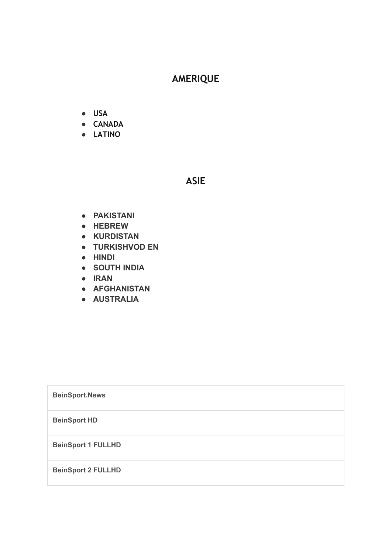# **AMERIQUE**

- **● USA**
- **● CANADA**
- **● LATINO**

#### **ASIE**

- **● PAKISTANI**
- **● HEBREW**
- **● KURDISTAN**
- **● TURKISHVOD EN**
- **● HINDI**
- **● SOUTH INDIA**
- **● IRAN**
- **● AFGHANISTAN**
- **● AUSTRALIA**

| <b>BeinSport.News</b>     |
|---------------------------|
| <b>BeinSport HD</b>       |
| <b>BeinSport 1 FULLHD</b> |
| <b>BeinSport 2 FULLHD</b> |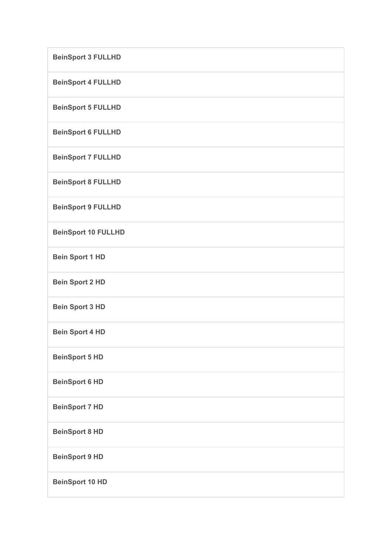| <b>BeinSport 3 FULLHD</b>  |
|----------------------------|
| <b>BeinSport 4 FULLHD</b>  |
| <b>BeinSport 5 FULLHD</b>  |
| <b>BeinSport 6 FULLHD</b>  |
| <b>BeinSport 7 FULLHD</b>  |
| <b>BeinSport 8 FULLHD</b>  |
| <b>BeinSport 9 FULLHD</b>  |
| <b>BeinSport 10 FULLHD</b> |
| <b>Bein Sport 1 HD</b>     |
| <b>Bein Sport 2 HD</b>     |
| <b>Bein Sport 3 HD</b>     |
| <b>Bein Sport 4 HD</b>     |
| <b>BeinSport 5 HD</b>      |
| <b>BeinSport 6 HD</b>      |
| <b>BeinSport 7 HD</b>      |
| <b>BeinSport 8 HD</b>      |
| <b>BeinSport 9 HD</b>      |
| <b>BeinSport 10 HD</b>     |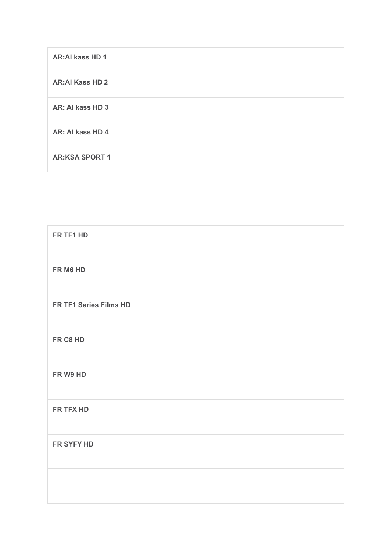| <b>AR:AI kass HD 1</b> |
|------------------------|
| <b>AR:Al Kass HD 2</b> |
| AR: AI kass HD 3       |
| AR: Al kass HD 4       |
| <b>AR:KSA SPORT 1</b>  |

| FR TF1 HD              |
|------------------------|
| FR M6 HD               |
| FR TF1 Series Films HD |
| FR C8 HD               |
| FR W9 HD               |
| FR TFX HD              |
| FR SYFY HD             |
|                        |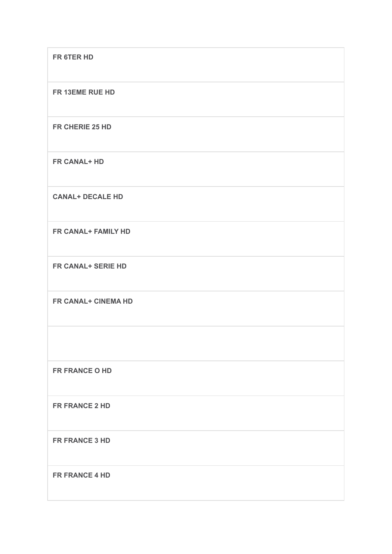| FR 6TER HD                 |
|----------------------------|
| FR 13EME RUE HD            |
| FR CHERIE 25 HD            |
| FR CANAL+ HD               |
| <b>CANAL+ DECALE HD</b>    |
| <b>FR CANAL+ FAMILY HD</b> |
| <b>FR CANAL+ SERIE HD</b>  |
| <b>FR CANAL+ CINEMA HD</b> |
|                            |
| FR FRANCE O HD             |
| FR FRANCE 2 HD             |
| FR FRANCE 3 HD             |
| FR FRANCE 4 HD             |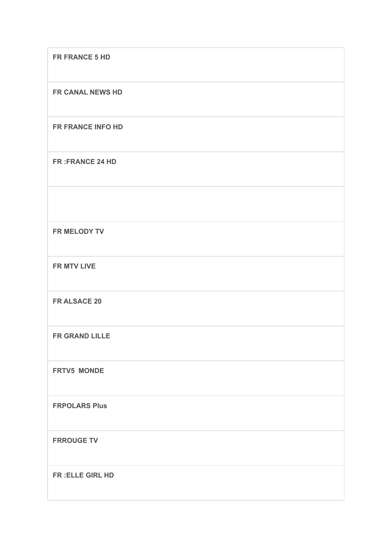| FR FRANCE 5 HD         |
|------------------------|
| FR CANAL NEWS HD       |
| FR FRANCE INFO HD      |
| <b>FR:FRANCE 24 HD</b> |
|                        |
| FR MELODY TV           |
| <b>FR MTV LIVE</b>     |
| FR ALSACE 20           |
| <b>FR GRAND LILLE</b>  |
| <b>FRTV5 MONDE</b>     |
| <b>FRPOLARS Plus</b>   |
| <b>FRROUGE TV</b>      |
| FR: ELLE GIRL HD       |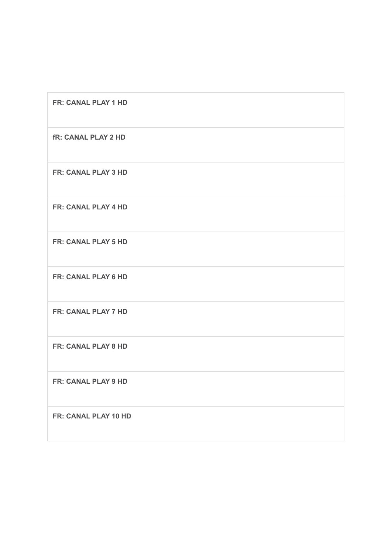| FR: CANAL PLAY 1 HD        |
|----------------------------|
| <b>fR: CANAL PLAY 2 HD</b> |
| <b>FR: CANAL PLAY 3 HD</b> |
| FR: CANAL PLAY 4 HD        |
| <b>FR: CANAL PLAY 5 HD</b> |
| FR: CANAL PLAY 6 HD        |
| FR: CANAL PLAY 7 HD        |
| <b>FR: CANAL PLAY 8 HD</b> |
| <b>FR: CANAL PLAY 9 HD</b> |
| FR: CANAL PLAY 10 HD       |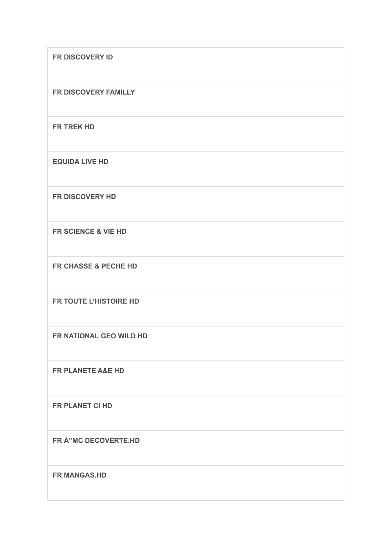| FR DISCOVERY ID                |
|--------------------------------|
| FR DISCOVERY FAMILLY           |
| FR TREK HD                     |
| <b>EQUIDA LIVE HD</b>          |
| FR DISCOVERY HD                |
| <b>FR SCIENCE &amp; VIE HD</b> |
| FR CHASSE & PECHE HD           |
| FR TOUTE L'HISTOIRE HD         |
| FR NATIONAL GEO WILD HD        |
| <b>FR PLANETE A&amp;E HD</b>   |
| FR PLANET CI HD                |
| FR Å"MC DECOVERTE.HD           |
| <b>FR MANGAS.HD</b>            |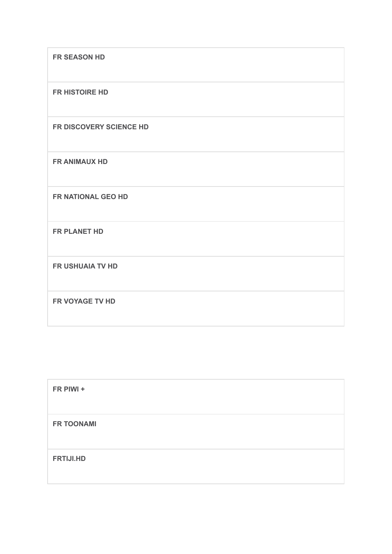| <b>FR SEASON HD</b>     |
|-------------------------|
| FR HISTOIRE HD          |
| FR DISCOVERY SCIENCE HD |
| <b>FR ANIMAUX HD</b>    |
| FR NATIONAL GEO HD      |
| FR PLANET HD            |
| <b>FR USHUAIA TV HD</b> |
| FR VOYAGE TV HD         |

| FR PIWI +         |  |  |
|-------------------|--|--|
| <b>FR TOONAMI</b> |  |  |
| <b>FRTIJI.HD</b>  |  |  |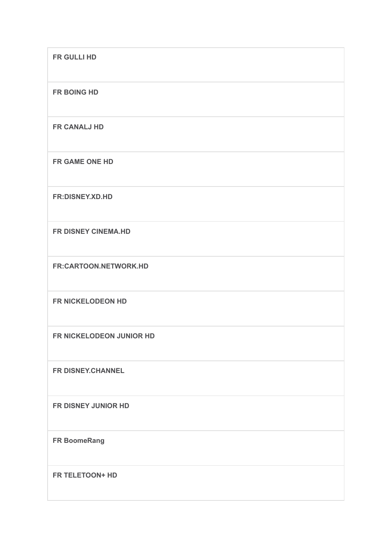| FR GULLI HD                |
|----------------------------|
| <b>FR BOING HD</b>         |
| <b>FR CANALJ HD</b>        |
| FR GAME ONE HD             |
| <b>FR:DISNEY.XD.HD</b>     |
| FR DISNEY CINEMA.HD        |
| FR:CARTOON.NETWORK.HD      |
| FR NICKELODEON HD          |
| FR NICKELODEON JUNIOR HD   |
| FR DISNEY.CHANNEL          |
| <b>FR DISNEY JUNIOR HD</b> |
| <b>FR BoomeRang</b>        |
| FR TELETOON+ HD            |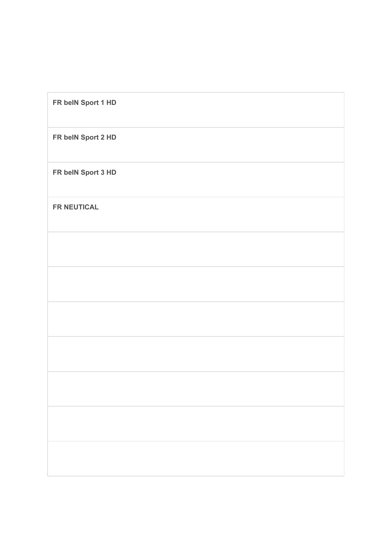| FR belN Sport 1 HD |  |  |
|--------------------|--|--|
| FR belN Sport 2 HD |  |  |
| FR belN Sport 3 HD |  |  |
| <b>FR NEUTICAL</b> |  |  |
|                    |  |  |
|                    |  |  |
|                    |  |  |
|                    |  |  |
|                    |  |  |
|                    |  |  |
|                    |  |  |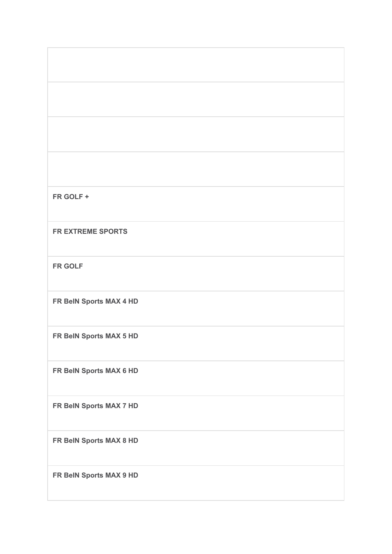|  | ٧ |  |  |
|--|---|--|--|
|--|---|--|--|

**FR EXTREME SPORTS**

**FR GOLF**

**FR BeIN Sports MAX 4 HD**

**FR BeIN Sports MAX 5 HD**

**FR BeIN Sports MAX 6 HD**

**FR BeIN Sports MAX 7 HD**

**FR BeIN Sports MAX 8 HD**

**FR BeIN Sports MAX 9 HD**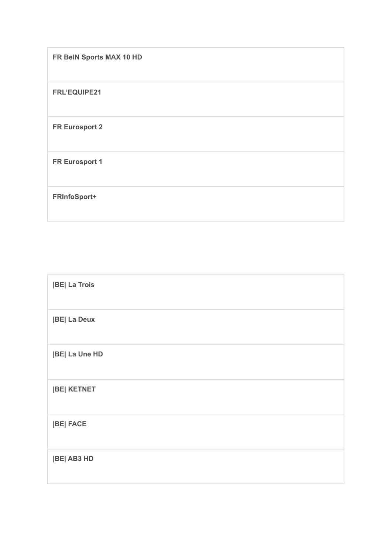| FR BeIN Sports MAX 10 HD |
|--------------------------|
| FRL'EQUIPE21             |
| <b>FR Eurosport 2</b>    |
| <b>FR Eurosport 1</b>    |
| FRInfoSport+             |

| <b>JBE La Trois</b>  |
|----------------------|
| <b>BE La Deux</b>    |
| <b>BE  La Une HD</b> |
| <b>BE KETNET</b>     |
| <b>BE FACE</b>       |
| <b>BE AB3 HD</b>     |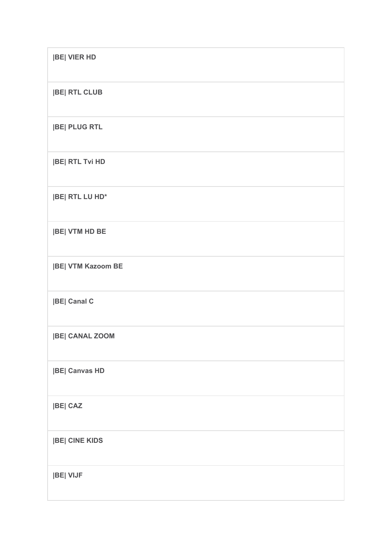| <b>BE VIER HD</b>         |
|---------------------------|
| <b>BE RTL CLUB</b>        |
| <b>BE PLUG RTL</b>        |
| <b>BE RTL Tvi HD</b>      |
| <b>BE RTL LU HD*</b>      |
| <b>BE VTM HD BE</b>       |
| <b> BE  VTM Kazoom BE</b> |
| <b>BE Canal C</b>         |
| <b> BE  CANAL ZOOM</b>    |
| <b>BE Canvas HD</b>       |
| <b>BE CAZ</b>             |
| <b>BE CINE KIDS</b>       |
| <b>BE VIJF</b>            |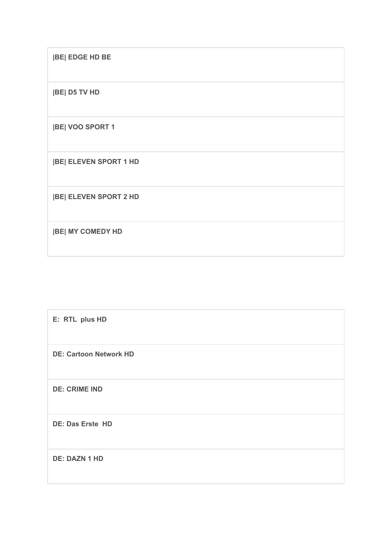**|BE| EDGE HD BE**

**|BE| D5 TV HD**

**|BE| VOO SPORT 1**

**|BE| ELEVEN SPORT 1 HD**

**|BE| ELEVEN SPORT 2 HD**

**|BE| MY COMEDY HD**

| E: RTL plus HD                |
|-------------------------------|
| <b>DE: Cartoon Network HD</b> |
| <b>DE: CRIME IND</b>          |
| DE: Das Erste HD              |
| <b>DE: DAZN 1 HD</b>          |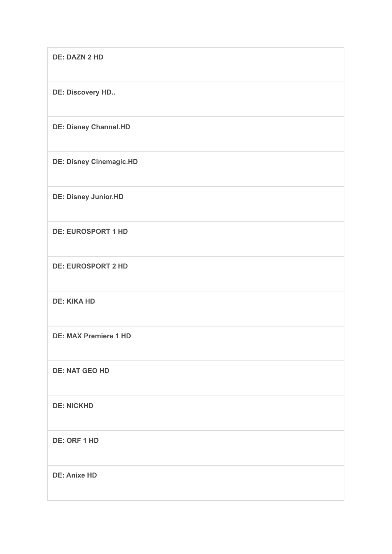| <b>DE: DAZN 2 HD</b>           |
|--------------------------------|
| DE: Discovery HD               |
| <b>DE: Disney Channel.HD</b>   |
| <b>DE: Disney Cinemagic.HD</b> |
| <b>DE: Disney Junior.HD</b>    |
| <b>DE: EUROSPORT 1 HD</b>      |
| <b>DE: EUROSPORT 2 HD</b>      |
| <b>DE: KIKA HD</b>             |
| <b>DE: MAX Premiere 1 HD</b>   |
| <b>DE: NAT GEO HD</b>          |
| <b>DE: NICKHD</b>              |
| <b>DE: ORF 1 HD</b>            |
| <b>DE: Anixe HD</b>            |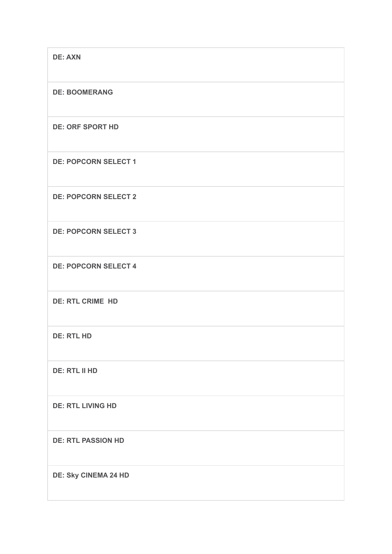| <b>DE: AXN</b>              |
|-----------------------------|
| <b>DE: BOOMERANG</b>        |
| <b>DE: ORF SPORT HD</b>     |
| <b>DE: POPCORN SELECT 1</b> |
| <b>DE: POPCORN SELECT 2</b> |
| <b>DE: POPCORN SELECT 3</b> |
| <b>DE: POPCORN SELECT 4</b> |
| <b>DE: RTL CRIME HD</b>     |
| <b>DE: RTL HD</b>           |
| <b>DE: RTL II HD</b>        |
| <b>DE: RTL LIVING HD</b>    |
| <b>DE: RTL PASSION HD</b>   |
| <b>DE: Sky CINEMA 24 HD</b> |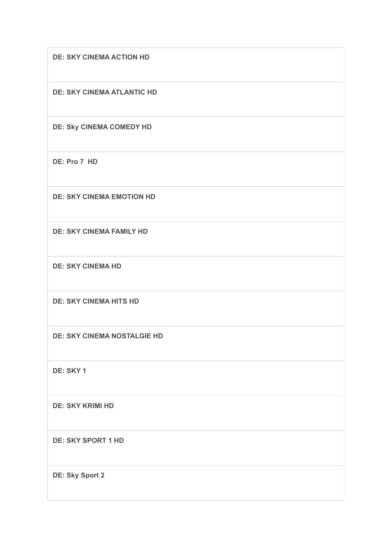**DE: SKY CINEMA ACTION HD**

**DE: SKY CINEMA ATLANTIC HD**

**DE: Sky CINEMA COMEDY HD**

**DE: Pro 7 HD**

**DE: SKY CINEMA EMOTION HD**

**DE: SKY CINEMA FAMILY HD**

**DE: SKY CINEMA HD**

**DE: SKY CINEMA HITS HD**

**DE: SKY CINEMA NOSTALGIE HD**

**DE: SKY 1**

**DE: SKY KRIMI HD**

**DE: SKY SPORT 1 HD**

**DE: Sky Sport 2**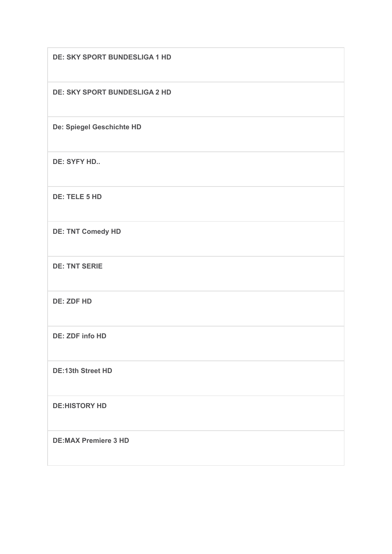| <b>DE: SKY SPORT BUNDESLIGA 1 HD</b> |
|--------------------------------------|
| <b>DE: SKY SPORT BUNDESLIGA 2 HD</b> |
| De: Spiegel Geschichte HD            |
| <b>DE: SYFY HD</b>                   |
| DE: TELE 5 HD                        |
| <b>DE: TNT Comedy HD</b>             |
| <b>DE: TNT SERIE</b>                 |
| <b>DE: ZDF HD</b>                    |
| DE: ZDF info HD                      |
| <b>DE:13th Street HD</b>             |
| <b>DE:HISTORY HD</b>                 |
| <b>DE:MAX Premiere 3 HD</b>          |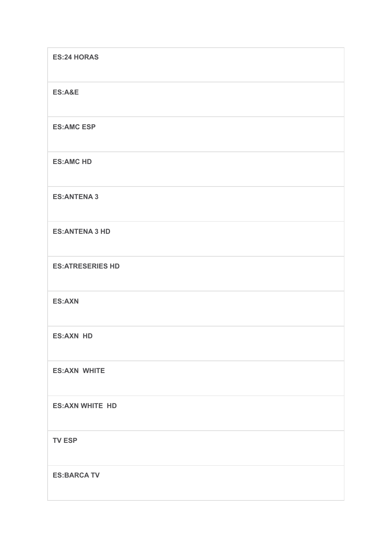| <b>ES:24 HORAS</b>      |
|-------------------------|
| <b>ES:A&amp;E</b>       |
| <b>ES:AMC ESP</b>       |
| <b>ES:AMC HD</b>        |
| <b>ES:ANTENA 3</b>      |
| <b>ES:ANTENA 3 HD</b>   |
| <b>ES:ATRESERIES HD</b> |
| <b>ES:AXN</b>           |
| <b>ES:AXN HD</b>        |
| <b>ES:AXN WHITE</b>     |
| <b>ES:AXN WHITE HD</b>  |
| <b>TV ESP</b>           |
| <b>ES:BARCA TV</b>      |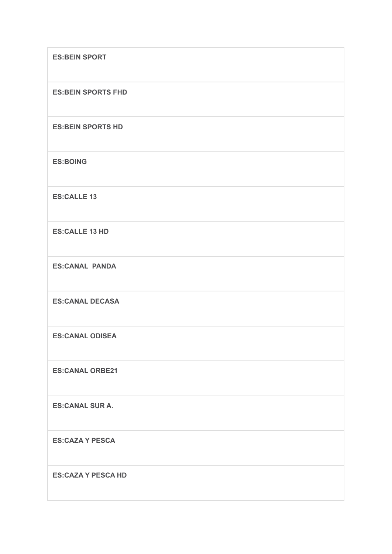| <b>ES:BEIN SPORT</b>      |
|---------------------------|
| <b>ES:BEIN SPORTS FHD</b> |
| <b>ES:BEIN SPORTS HD</b>  |
| <b>ES:BOING</b>           |
| <b>ES:CALLE 13</b>        |
| <b>ES:CALLE 13 HD</b>     |
| <b>ES:CANAL PANDA</b>     |
| <b>ES:CANAL DECASA</b>    |
| <b>ES:CANAL ODISEA</b>    |
| <b>ES:CANAL ORBE21</b>    |
| <b>ES:CANAL SUR A.</b>    |
| <b>ES:CAZA Y PESCA</b>    |
| <b>ES:CAZA Y PESCA HD</b> |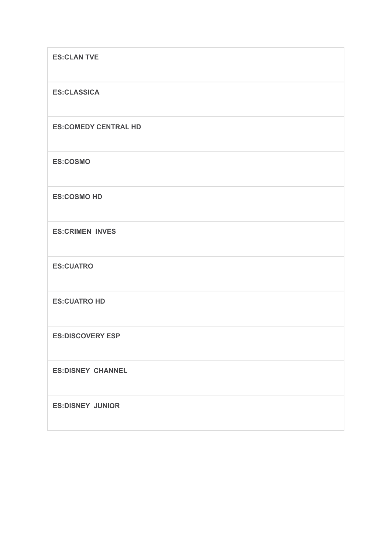| <b>ES:CLAN TVE</b>          |
|-----------------------------|
| <b>ES:CLASSICA</b>          |
| <b>ES:COMEDY CENTRAL HD</b> |
| <b>ES:COSMO</b>             |
| <b>ES:COSMO HD</b>          |
| <b>ES:CRIMEN INVES</b>      |
| <b>ES:CUATRO</b>            |
| <b>ES:CUATRO HD</b>         |
| <b>ES:DISCOVERY ESP</b>     |
| <b>ES:DISNEY CHANNEL</b>    |
| <b>ES:DISNEY JUNIOR</b>     |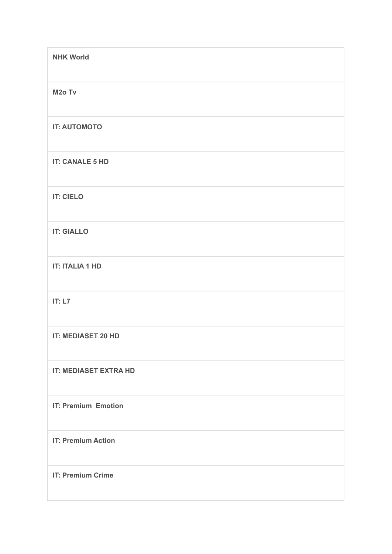| <b>NHK World</b>             |
|------------------------------|
| M <sub>2</sub> o Tv          |
| <b>IT: AUTOMOTO</b>          |
| <b>IT: CANALE 5 HD</b>       |
| <b>IT: CIELO</b>             |
| <b>IT: GIALLO</b>            |
| <b>IT: ITALIA 1 HD</b>       |
| IT: $L7$                     |
| <b>IT: MEDIASET 20 HD</b>    |
| <b>IT: MEDIASET EXTRA HD</b> |
| <b>IT: Premium Emotion</b>   |
| <b>IT: Premium Action</b>    |
| <b>IT: Premium Crime</b>     |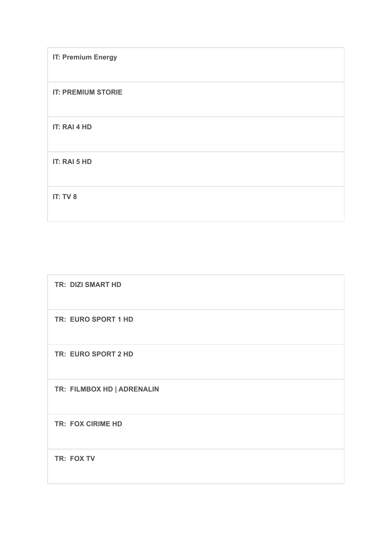| <b>IT: Premium Energy</b> |
|---------------------------|
| <b>IT: PREMIUM STORIE</b> |
| IT: RAI 4 HD              |
| IT: RAI 5 HD              |
| IT: TV 8                  |

| <b>TR: DIZI SMART HD</b>   |
|----------------------------|
| TR: EURO SPORT 1 HD        |
| TR: EURO SPORT 2 HD        |
| TR: FILMBOX HD   ADRENALIN |
| <b>TR: FOX CIRIME HD</b>   |
| TR: FOX TV                 |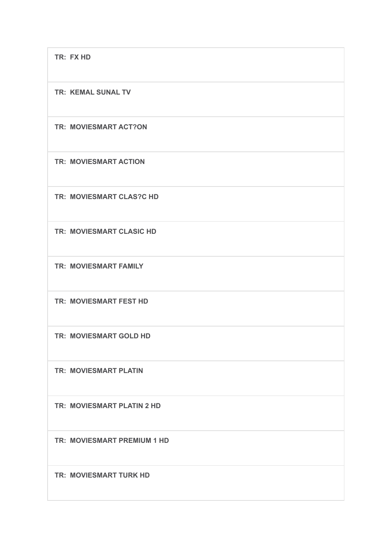**TR: FX HD**

**TR: KEMAL SUNAL TV**

**TR: MOVIESMART ACT?ON**

**TR: MOVIESMART ACTION**

**TR: MOVIESMART CLAS?C HD**

**TR: MOVIESMART CLASIC HD**

**TR: MOVIESMART FAMILY**

**TR: MOVIESMART FEST HD**

**TR: MOVIESMART GOLD HD**

**TR: MOVIESMART PLATIN**

**TR: MOVIESMART PLATIN 2 HD**

**TR: MOVIESMART PREMIUM 1 HD**

**TR: MOVIESMART TURK HD**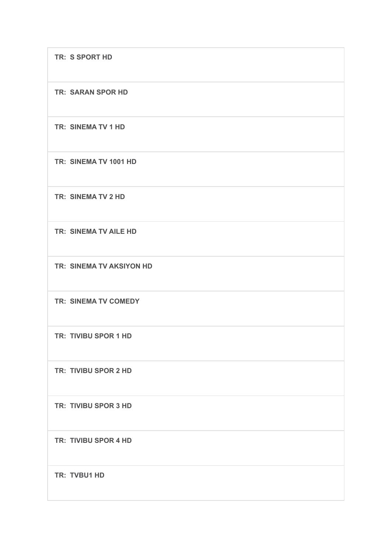**TR: S SPORT HD**

**TR: SARAN SPOR HD**

**TR: SINEMA TV 1 HD**

**TR: SINEMA TV 1001 HD**

**TR: SINEMA TV 2 HD**

**TR: SINEMA TV AILE HD**

**TR: SINEMA TV AKSIYON HD**

**TR: SINEMA TV COMEDY**

**TR: TIVIBU SPOR 1 HD**

**TR: TIVIBU SPOR 2 HD**

**TR: TIVIBU SPOR 3 HD**

**TR: TIVIBU SPOR 4 HD**

**TR: TVBU1 HD**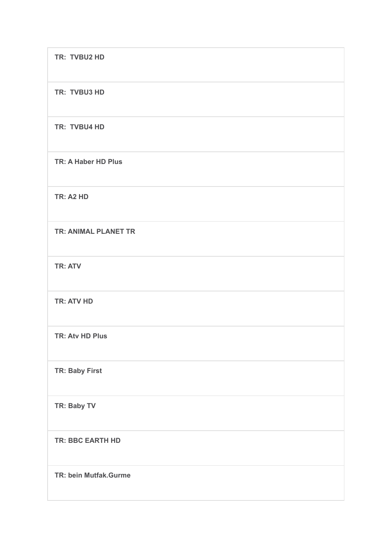| TR: TVBU2 HD                |
|-----------------------------|
| TR: TVBU3 HD                |
| TR: TVBU4 HD                |
| TR: A Haber HD Plus         |
| <b>TR: A2 HD</b>            |
| <b>TR: ANIMAL PLANET TR</b> |
| <b>TR: ATV</b>              |
| <b>TR: ATV HD</b>           |
| <b>TR: Atv HD Plus</b>      |
| TR: Baby First              |
| TR: Baby TV                 |
| <b>TR: BBC EARTH HD</b>     |
| TR: bein Mutfak.Gurme       |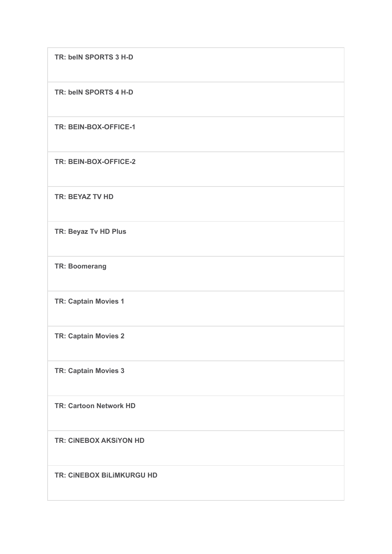**TR: beIN SPORTS 3 H-D**

**TR: beIN SPORTS 4 H-D**

**TR: BEIN-BOX-OFFICE-1**

**TR: BEIN-BOX-OFFICE-2**

**TR: BEYAZ TV HD**

**TR: Beyaz Tv HD Plus**

**TR: Boomerang**

**TR: Captain Movies 1**

**TR: Captain Movies 2**

**TR: Captain Movies 3**

**TR: Cartoon Network HD**

**TR: CiNEBOX AKSiYON HD**

**TR: CiNEBOX BiLiMKURGU HD**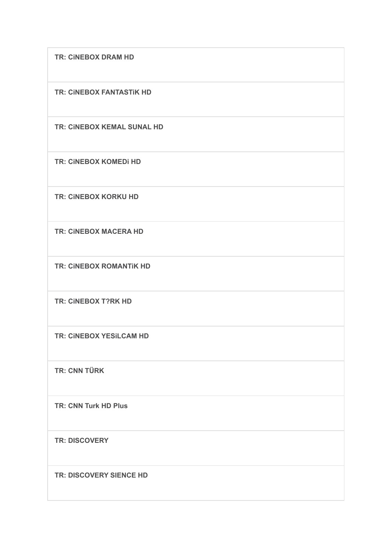**TR: CiNEBOX DRAM HD**

**TR: CiNEBOX FANTASTiK HD**

**TR: CiNEBOX KEMAL SUNAL HD**

**TR: CiNEBOX KOMEDi HD**

**TR: CiNEBOX KORKU HD**

**TR: CiNEBOX MACERA HD**

**TR: CiNEBOX ROMANTiK HD**

**TR: CiNEBOX T?RK HD**

**TR: CiNEBOX YESiLCAM HD**

**TR: CNN TÜRK**

**TR: CNN Turk HD Plus**

**TR: DISCOVERY**

**TR: DISCOVERY SIENCE HD**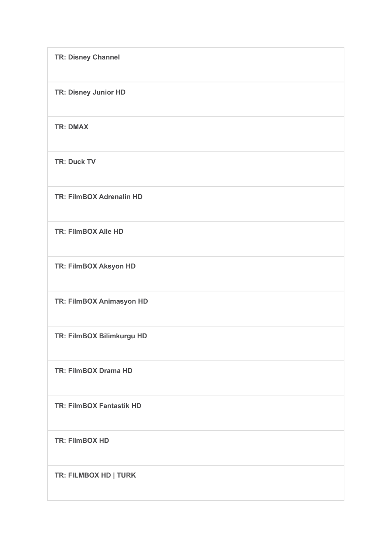| <b>TR: Disney Channel</b>       |
|---------------------------------|
| TR: Disney Junior HD            |
| <b>TR: DMAX</b>                 |
| <b>TR: Duck TV</b>              |
| <b>TR: FilmBOX Adrenalin HD</b> |
| <b>TR: FilmBOX Aile HD</b>      |
| TR: FilmBOX Aksyon HD           |
| TR: FilmBOX Animasyon HD        |
| TR: FilmBOX Bilimkurgu HD       |
| <b>TR: FilmBOX Drama HD</b>     |
| <b>TR: FilmBOX Fantastik HD</b> |
| <b>TR: FilmBOX HD</b>           |
| TR: FILMBOX HD   TURK           |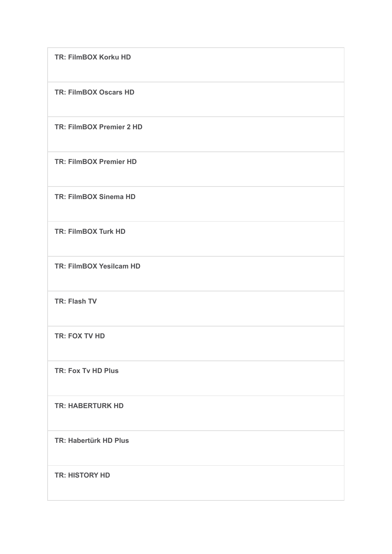| TR: FilmBOX Korku HD            |
|---------------------------------|
| <b>TR: FilmBOX Oscars HD</b>    |
| <b>TR: FilmBOX Premier 2 HD</b> |
| <b>TR: FilmBOX Premier HD</b>   |
| <b>TR: FilmBOX Sinema HD</b>    |
| <b>TR: FilmBOX Turk HD</b>      |
| TR: FilmBOX Yesilcam HD         |
| <b>TR: Flash TV</b>             |
| TR: FOX TV HD                   |
| TR: Fox Tv HD Plus              |
| <b>TR: HABERTURK HD</b>         |
| TR: Habertürk HD Plus           |
| <b>TR: HISTORY HD</b>           |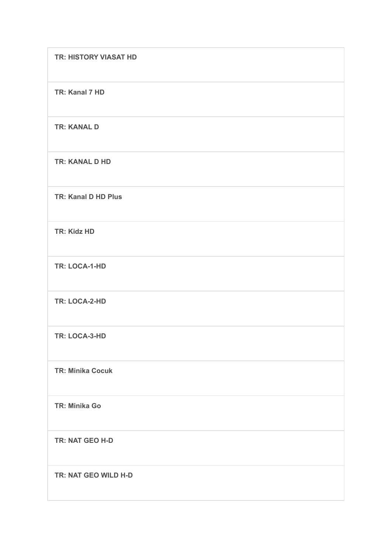| <b>TR: HISTORY VIASAT HD</b> |
|------------------------------|
| TR: Kanal 7 HD               |
| <b>TR: KANAL D</b>           |
| <b>TR: KANAL D HD</b>        |
| TR: Kanal D HD Plus          |
| <b>TR: Kidz HD</b>           |
| TR: LOCA-1-HD                |
| TR: LOCA-2-HD                |
| TR: LOCA-3-HD                |
| <b>TR: Minika Cocuk</b>      |
| <b>TR: Minika Go</b>         |
| TR: NAT GEO H-D              |
| TR: NAT GEO WILD H-D         |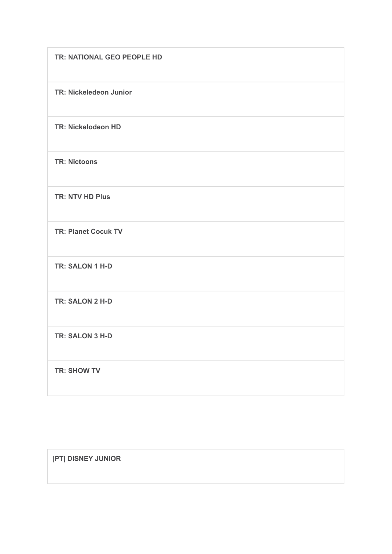| TR: NATIONAL GEO PEOPLE HD |
|----------------------------|
| TR: Nickeledeon Junior     |
| <b>TR: Nickelodeon HD</b>  |
| <b>TR: Nictoons</b>        |
| <b>TR: NTV HD Plus</b>     |
| <b>TR: Planet Cocuk TV</b> |
| TR: SALON 1 H-D            |
| TR: SALON 2 H-D            |
| TR: SALON 3 H-D            |
| <b>TR: SHOW TV</b>         |

**|PT| DISNEY JUNIOR**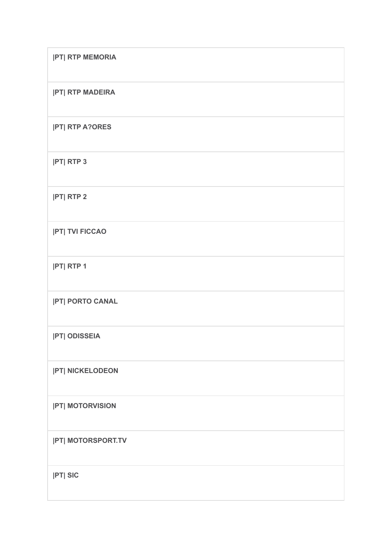| <b>PT RTP MEMORIA</b>     |
|---------------------------|
| <b>PT RTP MADEIRA</b>     |
| <b>PT RTP A?ORES</b>      |
| <b>PT RTP 3</b>           |
| <b>PT RTP 2</b>           |
| <b> PT  TVI FICCAO</b>    |
| <b>PT RTP1</b>            |
| <b> PT  PORTO CANAL</b>   |
| <b>PT ODISSEIA</b>        |
| <b> PT  NICKELODEON</b>   |
| <b>PT MOTORVISION</b>     |
| <b> PT  MOTORSPORT.TV</b> |
| $ PT $ SIC                |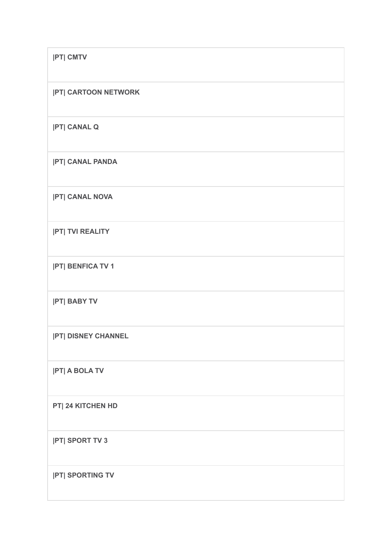| <b>IPTI CMTV</b>            |
|-----------------------------|
| <b> PT  CARTOON NETWORK</b> |
| <b>PTI CANAL Q</b>          |
| <b>PT CANAL PANDA</b>       |
| <b> PT  CANAL NOVA</b>      |
| <b>PT TVI REALITY</b>       |
| <b>PT BENFICA TV 1</b>      |
| <b>PT BABY TV</b>           |
| <b> PT  DISNEY CHANNEL</b>  |
| <b>PT A BOLA TV</b>         |
| PT  24 KITCHEN HD           |
| <b>PT SPORT TV 3</b>        |
| <b>PT SPORTING TV</b>       |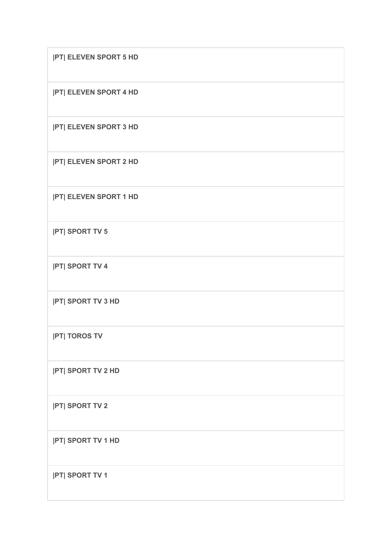| <b>PT ELEVEN SPORT 5 HD</b> |
|-----------------------------|
| <b>PT ELEVEN SPORT 4 HD</b> |
| <b>PT ELEVEN SPORT 3 HD</b> |
| <b>PT ELEVEN SPORT 2 HD</b> |
| <b>PT ELEVEN SPORT 1 HD</b> |
| <b>PT SPORT TV 5</b>        |
| <b>PT SPORT TV 4</b>        |
| <b>PT SPORT TV 3 HD</b>     |
| <b>PT TOROS TV</b>          |
| <b> PT  SPORT TV 2 HD</b>   |
| <b>PT SPORT TV 2</b>        |
| <b> PT  SPORT TV 1 HD</b>   |
| <b>PT SPORT TV1</b>         |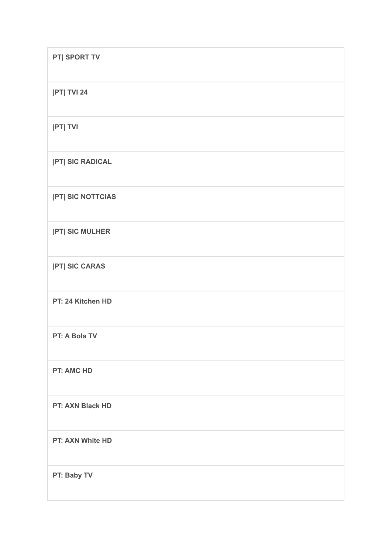| PT  SPORT TV            |
|-------------------------|
| <b> PT  TVI 24</b>      |
| <b>PT TVI</b>           |
| <b> PT  SIC RADICAL</b> |
| <b>PT SIC NOTTCIAS</b>  |
| <b>PT SIC MULHER</b>    |
| <b>PT SIC CARAS</b>     |
| PT: 24 Kitchen HD       |
| PT: A Bola TV           |
| <b>PT: AMC HD</b>       |
| PT: AXN Black HD        |
| PT: AXN White HD        |
| PT: Baby TV             |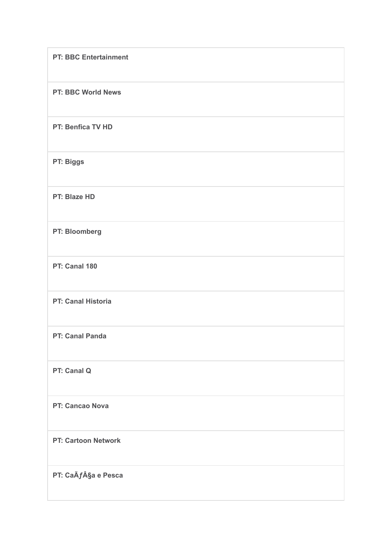| <b>PT: BBC Entertainment</b> |
|------------------------------|
| PT: BBC World News           |
| PT: Benfica TV HD            |
| PT: Biggs                    |
| PT: Blaze HD                 |
| PT: Bloomberg                |
| PT: Canal 180                |
| PT: Canal Historia           |
| PT: Canal Panda              |
| PT: Canal Q                  |
| PT: Cancao Nova              |
| <b>PT: Cartoon Network</b>   |
| PT: CaÃf§a e Pesca           |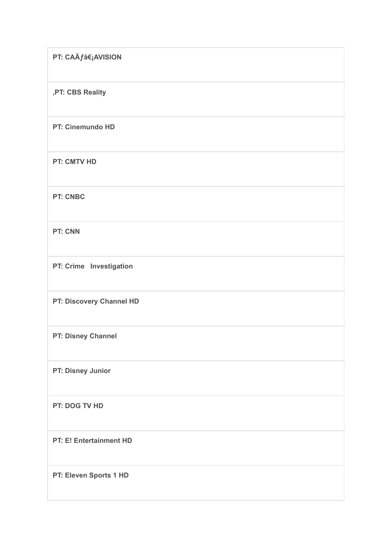| PT: CAÃ <i>f</i> ‡AVISION |
|---------------------------|
| ,PT: CBS Reality          |
| PT: Cinemundo HD          |
| <b>PT: CMTV HD</b>        |
| <b>PT: CNBC</b>           |
| <b>PT: CNN</b>            |
| PT: Crime Investigation   |
| PT: Discovery Channel HD  |
| PT: Disney Channel        |
| PT: Disney Junior         |
| PT: DOG TV HD             |
| PT: E! Entertainment HD   |
| PT: Eleven Sports 1 HD    |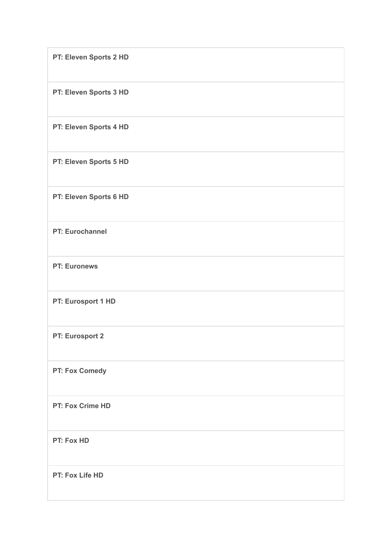| PT: Eleven Sports 2 HD  |
|-------------------------|
| PT: Eleven Sports 3 HD  |
| PT: Eleven Sports 4 HD  |
| PT: Eleven Sports 5 HD  |
| PT: Eleven Sports 6 HD  |
| PT: Eurochannel         |
| <b>PT: Euronews</b>     |
| PT: Eurosport 1 HD      |
| PT: Eurosport 2         |
| PT: Fox Comedy          |
| <b>PT: Fox Crime HD</b> |
| PT: Fox HD              |
| PT: Fox Life HD         |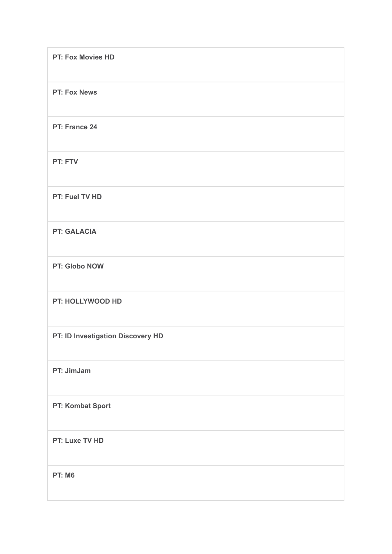| PT: Fox Movies HD                 |
|-----------------------------------|
| <b>PT: Fox News</b>               |
| PT: France 24                     |
| PT: FTV                           |
| PT: Fuel TV HD                    |
| <b>PT: GALACIA</b>                |
| PT: Globo NOW                     |
| PT: HOLLYWOOD HD                  |
| PT: ID Investigation Discovery HD |
| PT: JimJam                        |
| PT: Kombat Sport                  |
| PT: Luxe TV HD                    |
| <b>PT: M6</b>                     |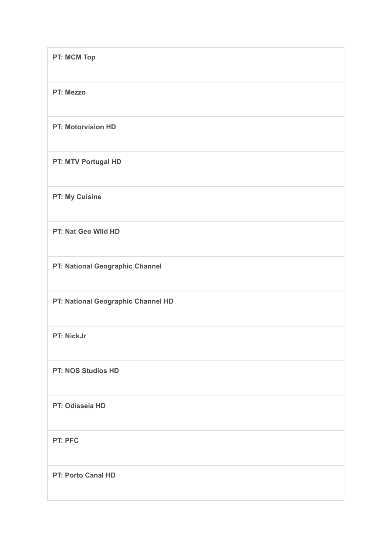| PT: MCM Top                        |
|------------------------------------|
| PT: Mezzo                          |
| <b>PT: Motorvision HD</b>          |
| PT: MTV Portugal HD                |
| <b>PT: My Cuisine</b>              |
| PT: Nat Geo Wild HD                |
| PT: National Geographic Channel    |
| PT: National Geographic Channel HD |
| PT: NickJr                         |
| PT: NOS Studios HD                 |
| PT: Odisseia HD                    |
| PT: PFC                            |
| <b>PT: Porto Canal HD</b>          |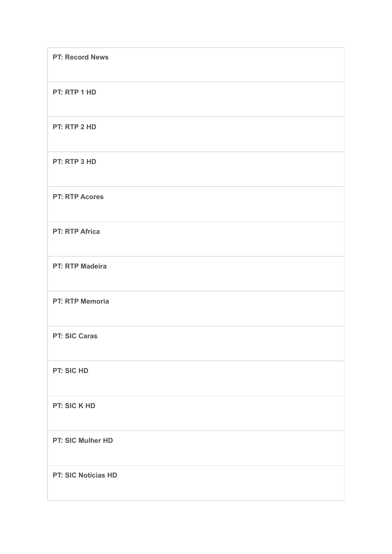| <b>PT: Record News</b> |
|------------------------|
| PT: RTP 1 HD           |
| PT: RTP 2 HD           |
| PT: RTP 3 HD           |
| <b>PT: RTP Acores</b>  |
| <b>PT: RTP Africa</b>  |
| <b>PT: RTP Madeira</b> |
| <b>PT: RTP Memoria</b> |
| <b>PT: SIC Caras</b>   |
| PT: SIC HD             |
| PT: SIC K HD           |
| PT: SIC Mulher HD      |
| PT: SIC Noticias HD    |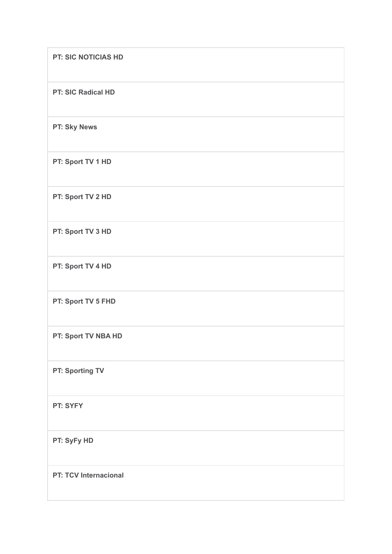| <b>PT: SIC NOTICIAS HD</b>   |
|------------------------------|
| <b>PT: SIC Radical HD</b>    |
| PT: Sky News                 |
| PT: Sport TV 1 HD            |
| PT: Sport TV 2 HD            |
| PT: Sport TV 3 HD            |
| PT: Sport TV 4 HD            |
| PT: Sport TV 5 FHD           |
| PT: Sport TV NBA HD          |
| PT: Sporting TV              |
| PT: SYFY                     |
| PT: SyFy HD                  |
| <b>PT: TCV Internacional</b> |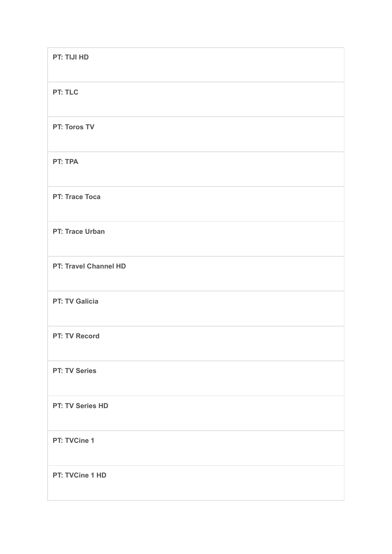| PT: TIJI HD           |
|-----------------------|
| PT: TLC               |
| PT: Toros TV          |
| PT: TPA               |
| <b>PT: Trace Toca</b> |
| PT: Trace Urban       |
| PT: Travel Channel HD |
| <b>PT: TV Galicia</b> |
| <b>PT: TV Record</b>  |
| <b>PT: TV Series</b>  |
| PT: TV Series HD      |
| PT: TVCine 1          |
| PT: TVCine 1 HD       |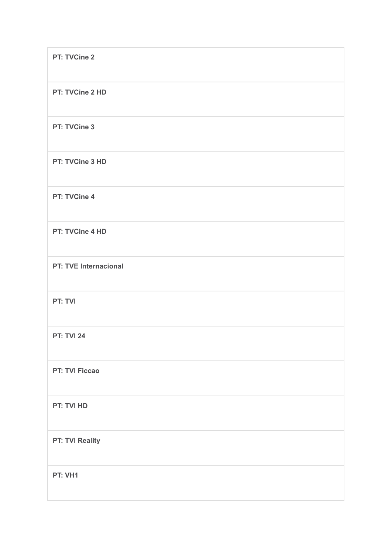| PT: TVCine 2                 |
|------------------------------|
| PT: TVCine 2 HD              |
| PT: TVCine 3                 |
| PT: TVCine 3 HD              |
| PT: TVCine 4                 |
| PT: TVCine 4 HD              |
| <b>PT: TVE Internacional</b> |
| PT: TVI                      |
| <b>PT: TVI 24</b>            |
| <b>PT: TVI Ficcao</b>        |
| PT: TVI HD                   |
| PT: TVI Reality              |
| PT: VH1                      |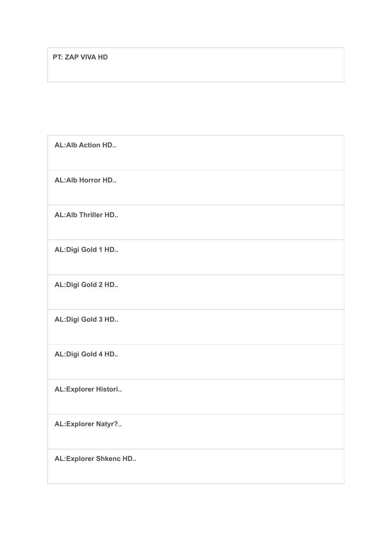| <b>AL:Alb Action HD</b>      |
|------------------------------|
| <b>AL:Alb Horror HD</b>      |
| <b>AL:Alb Thriller HD</b>    |
| AL: Digi Gold 1 HD           |
| AL: Digi Gold 2 HD           |
| AL: Digi Gold 3 HD           |
| AL: Digi Gold 4 HD           |
| AL: Explorer Histori         |
| <b>AL:Explorer Natyr?</b>    |
| <b>AL:Explorer Shkenc HD</b> |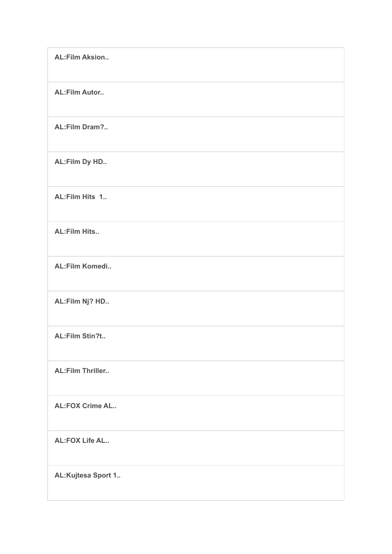| <b>AL:Film Aksion</b>   |
|-------------------------|
| <b>AL:Film Autor</b>    |
| AL:Film Dram?           |
| AL:Film Dy HD           |
| AL:Film Hits 1          |
| <b>AL:Film Hits</b>     |
| AL:Film Komedi          |
| AL:Film Nj? HD          |
| AL:Film Stin?t          |
| <b>AL:Film Thriller</b> |
| <b>AL:FOX Crime AL</b>  |
| <b>AL:FOX Life AL</b>   |
| AL:Kujtesa Sport 1      |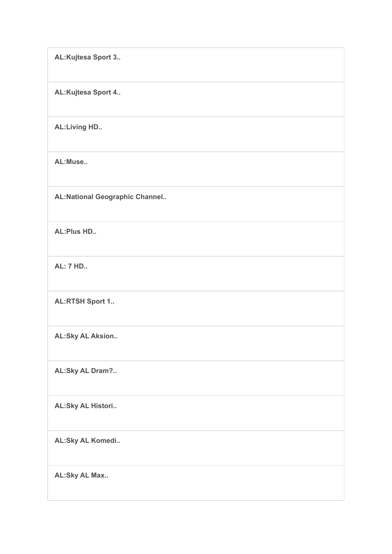**AL:Kujtesa Sport 3..**

**AL:Kujtesa Sport 4..**

**AL:Living HD..**

**AL:Muse..**

**AL:National Geographic Channel..**

**AL:Plus HD..**

**AL: 7 HD..**

**AL:RTSH Sport 1..**

**AL:Sky AL Aksion..**

**AL:Sky AL Dram?..**

**AL:Sky AL Histori..**

**AL:Sky AL Komedi..**

**AL:Sky AL Max..**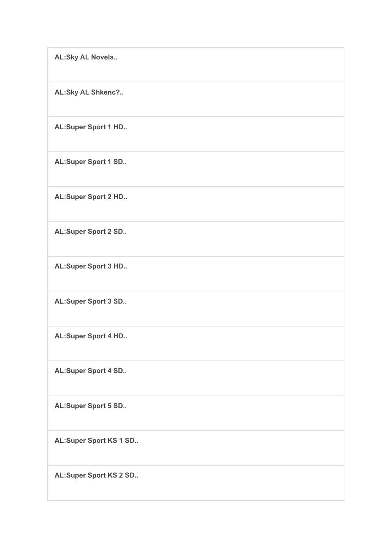**AL:Sky AL Novela..**

**AL:Sky AL Shkenc?..**

**AL:Super Sport 1 HD..**

**AL:Super Sport 1 SD..**

**AL:Super Sport 2 HD..**

**AL:Super Sport 2 SD..**

**AL:Super Sport 3 HD..**

**AL:Super Sport 3 SD..**

**AL:Super Sport 4 HD..**

**AL:Super Sport 4 SD..**

**AL:Super Sport 5 SD..**

**AL:Super Sport KS 1 SD..**

**AL:Super Sport KS 2 SD..**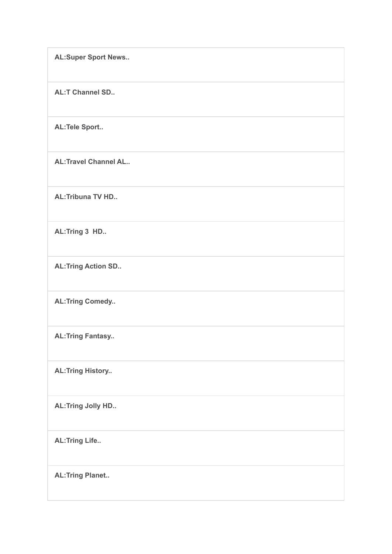**AL:Super Sport News..**

**AL:T Channel SD..**

**AL:Tele Sport..**

**AL:Travel Channel AL..**

**AL:Tribuna TV HD..**

**AL:Tring 3 HD..**

**AL:Tring Action SD..**

**AL:Tring Comedy..**

**AL:Tring Fantasy..**

**AL:Tring History..**

**AL:Tring Jolly HD..**

**AL:Tring Life..**

**AL:Tring Planet..**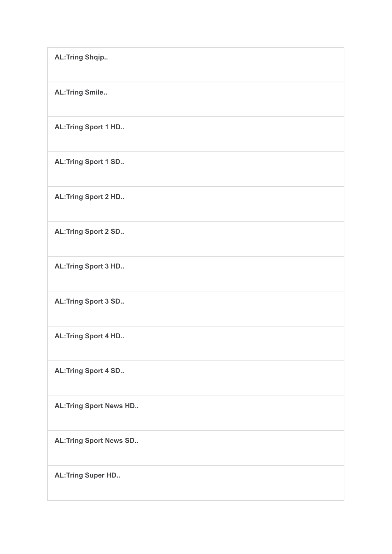**AL:Tring Shqip.. AL:Tring Smile.. AL:Tring Sport 1 HD.. AL:Tring Sport 1 SD.. AL:Tring Sport 2 HD.. AL:Tring Sport 2 SD.. AL:Tring Sport 3 HD.. AL:Tring Sport 3 SD.. AL:Tring Sport 4 HD.. AL:Tring Sport 4 SD.. AL:Tring Sport News HD.. AL:Tring Sport News SD.. AL:Tring Super HD..**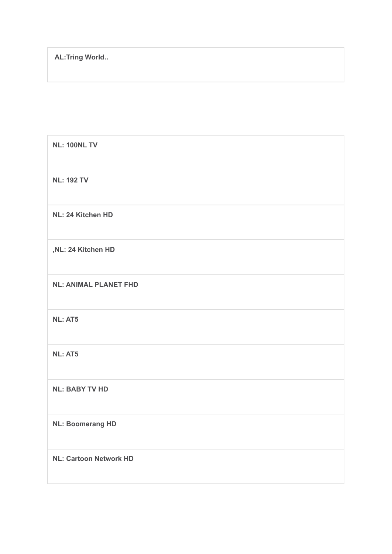| <b>NL: 100NL TV</b>           |
|-------------------------------|
| <b>NL: 192 TV</b>             |
| NL: 24 Kitchen HD             |
| ,NL: 24 Kitchen HD            |
| <b>NL: ANIMAL PLANET FHD</b>  |
| <b>NL: AT5</b>                |
| <b>NL: AT5</b>                |
| <b>NL: BABY TV HD</b>         |
| <b>NL: Boomerang HD</b>       |
| <b>NL: Cartoon Network HD</b> |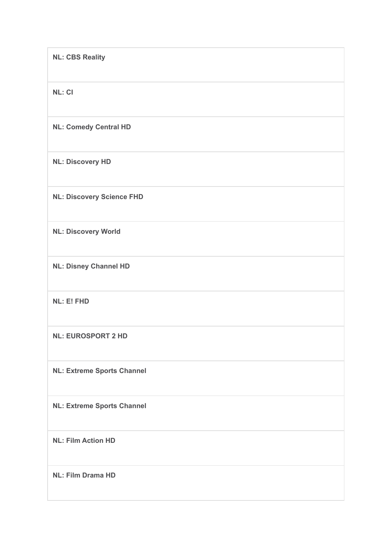| <b>NL: CBS Reality</b>            |
|-----------------------------------|
| <b>NL: CI</b>                     |
| <b>NL: Comedy Central HD</b>      |
| <b>NL: Discovery HD</b>           |
| <b>NL: Discovery Science FHD</b>  |
| <b>NL: Discovery World</b>        |
| <b>NL: Disney Channel HD</b>      |
| NL: E! FHD                        |
| <b>NL: EUROSPORT 2 HD</b>         |
| <b>NL: Extreme Sports Channel</b> |
| <b>NL: Extreme Sports Channel</b> |
| <b>NL: Film Action HD</b>         |
| <b>NL: Film Drama HD</b>          |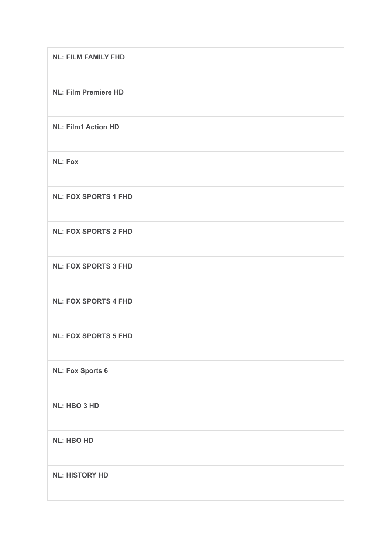| <b>NL: FILM FAMILY FHD</b>  |
|-----------------------------|
| <b>NL: Film Premiere HD</b> |
| <b>NL: Film1 Action HD</b>  |
| <b>NL: Fox</b>              |
| <b>NL: FOX SPORTS 1 FHD</b> |
| <b>NL: FOX SPORTS 2 FHD</b> |
| <b>NL: FOX SPORTS 3 FHD</b> |
| <b>NL: FOX SPORTS 4 FHD</b> |
| <b>NL: FOX SPORTS 5 FHD</b> |
| <b>NL: Fox Sports 6</b>     |
| NL: HBO 3 HD                |
| <b>NL: HBO HD</b>           |
| <b>NL: HISTORY HD</b>       |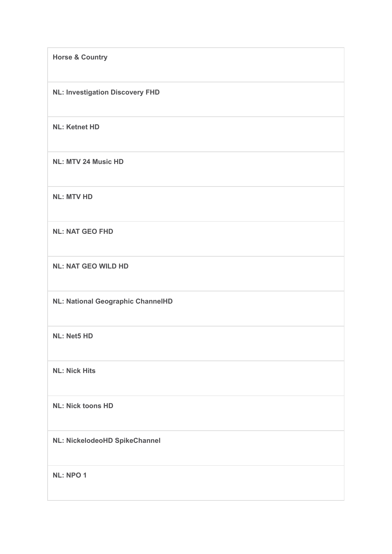**Horse & Country NL: Investigation Discovery FHD NL: Ketnet HD NL: MTV 24 Music HD NL: MTV HD NL: NAT GEO FHD NL: NAT GEO WILD HD NL: National Geographic ChannelHD NL: Net5 HD NL: Nick Hits NL: Nick toons HD NL: NickelodeoHD SpikeChannel NL: NPO 1**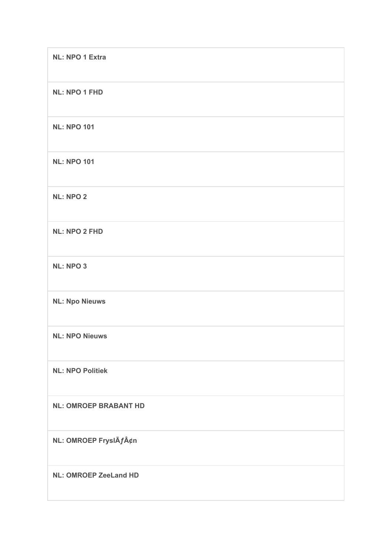| <b>NL: NPO 1 Extra</b>       |
|------------------------------|
| <b>NL: NPO 1 FHD</b>         |
| <b>NL: NPO 101</b>           |
| <b>NL: NPO 101</b>           |
| <b>NL: NPO 2</b>             |
| <b>NL: NPO 2 FHD</b>         |
| <b>NL: NPO 3</b>             |
| <b>NL: Npo Nieuws</b>        |
| <b>NL: NPO Nieuws</b>        |
| <b>NL: NPO Politiek</b>      |
| <b>NL: OMROEP BRABANT HD</b> |
| NL: OMROEP FryslÄf¢n         |
| <b>NL: OMROEP ZeeLand HD</b> |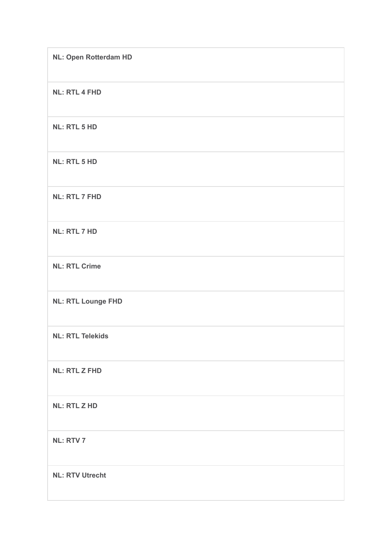| <b>NL: Open Rotterdam HD</b> |
|------------------------------|
| <b>NL: RTL 4 FHD</b>         |
| <b>NL: RTL 5 HD</b>          |
| <b>NL: RTL 5 HD</b>          |
| <b>NL: RTL 7 FHD</b>         |
| <b>NL: RTL 7 HD</b>          |
| <b>NL: RTL Crime</b>         |
| <b>NL: RTL Lounge FHD</b>    |
| <b>NL: RTL Telekids</b>      |
| <b>NL: RTL Z FHD</b>         |
| <b>NL: RTL Z HD</b>          |
| <b>NL: RTV 7</b>             |
| <b>NL: RTV Utrecht</b>       |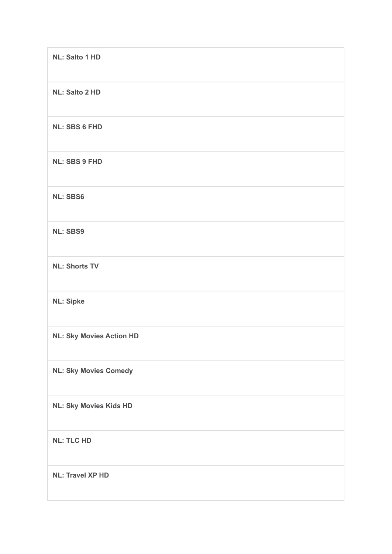| <b>NL: Salto 1 HD</b>           |
|---------------------------------|
| <b>NL: Salto 2 HD</b>           |
| <b>NL: SBS 6 FHD</b>            |
| <b>NL: SBS 9 FHD</b>            |
| <b>NL: SBS6</b>                 |
| <b>NL: SBS9</b>                 |
| <b>NL: Shorts TV</b>            |
| <b>NL: Sipke</b>                |
| <b>NL: Sky Movies Action HD</b> |
| <b>NL: Sky Movies Comedy</b>    |
| <b>NL: Sky Movies Kids HD</b>   |
| <b>NL: TLC HD</b>               |
| <b>NL: Travel XP HD</b>         |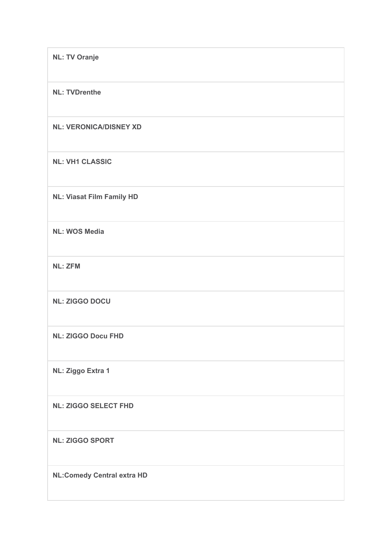| <b>NL: TV Oranje</b>              |
|-----------------------------------|
| <b>NL: TVDrenthe</b>              |
| <b>NL: VERONICA/DISNEY XD</b>     |
| <b>NL: VH1 CLASSIC</b>            |
| <b>NL: Viasat Film Family HD</b>  |
| <b>NL: WOS Media</b>              |
| <b>NL: ZFM</b>                    |
| <b>NL: ZIGGO DOCU</b>             |
| <b>NL: ZIGGO Docu FHD</b>         |
| NL: Ziggo Extra 1                 |
| <b>NL: ZIGGO SELECT FHD</b>       |
| <b>NL: ZIGGO SPORT</b>            |
| <b>NL:Comedy Central extra HD</b> |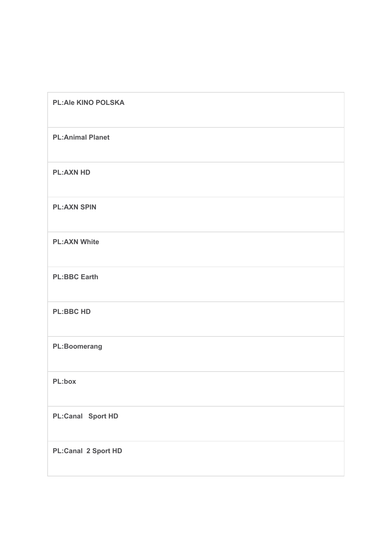| <b>PL:Ale KINO POLSKA</b> |
|---------------------------|
| <b>PL:Animal Planet</b>   |
| <b>PL:AXN HD</b>          |
| <b>PL:AXN SPIN</b>        |
| <b>PL:AXN White</b>       |
| <b>PL:BBC Earth</b>       |
| <b>PL:BBC HD</b>          |
| <b>PL:Boomerang</b>       |
| PL:box                    |
| <b>PL:Canal Sport HD</b>  |
| PL:Canal 2 Sport HD       |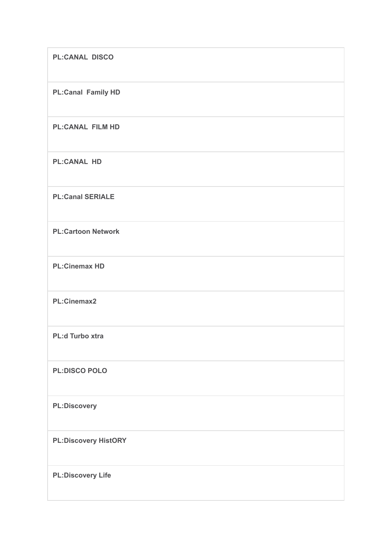| <b>PL:CANAL DISCO</b>       |
|-----------------------------|
| <b>PL:Canal Family HD</b>   |
| <b>PL:CANAL FILM HD</b>     |
| <b>PL:CANAL HD</b>          |
| <b>PL:Canal SERIALE</b>     |
| <b>PL:Cartoon Network</b>   |
| <b>PL:Cinemax HD</b>        |
| PL:Cinemax2                 |
| <b>PL:d Turbo xtra</b>      |
| <b>PL:DISCO POLO</b>        |
| <b>PL:Discovery</b>         |
| <b>PL:Discovery HistORY</b> |
| <b>PL:Discovery Life</b>    |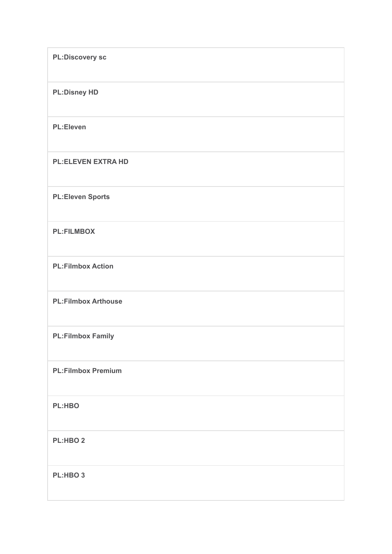| <b>PL:Discovery sc</b>     |
|----------------------------|
| <b>PL:Disney HD</b>        |
| <b>PL:Eleven</b>           |
| <b>PL:ELEVEN EXTRA HD</b>  |
| <b>PL:Eleven Sports</b>    |
| <b>PL:FILMBOX</b>          |
| <b>PL:Filmbox Action</b>   |
| <b>PL:Filmbox Arthouse</b> |
| <b>PL:Filmbox Family</b>   |
| <b>PL:Filmbox Premium</b>  |
| <b>PL:HBO</b>              |
| PL:HBO <sub>2</sub>        |
| PL:HBO 3                   |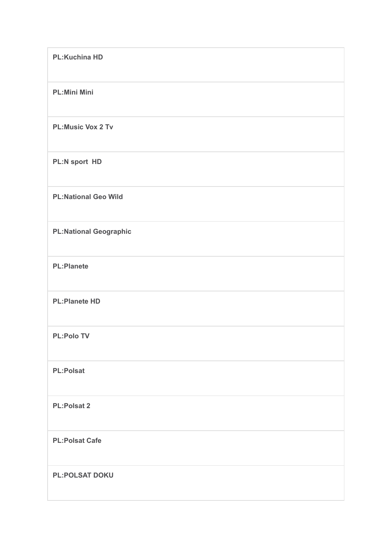| <b>PL:Kuchina HD</b>          |
|-------------------------------|
| <b>PL:Mini Mini</b>           |
| <b>PL:Music Vox 2 Tv</b>      |
| PL:N sport HD                 |
| <b>PL:National Geo Wild</b>   |
| <b>PL:National Geographic</b> |
| <b>PL:Planete</b>             |
| <b>PL:Planete HD</b>          |
| <b>PL:Polo TV</b>             |
| <b>PL:Polsat</b>              |
| <b>PL:Polsat 2</b>            |
| <b>PL:Polsat Cafe</b>         |
| <b>PL:POLSAT DOKU</b>         |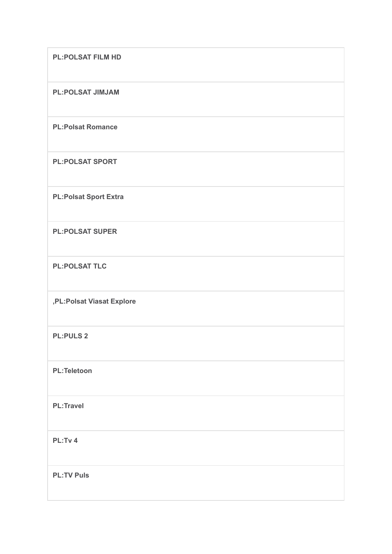| <b>PL:POLSAT FILM HD</b>     |
|------------------------------|
| <b>PL:POLSAT JIMJAM</b>      |
| <b>PL:Polsat Romance</b>     |
| <b>PL:POLSAT SPORT</b>       |
| <b>PL:Polsat Sport Extra</b> |
| <b>PL:POLSAT SUPER</b>       |
| <b>PL:POLSAT TLC</b>         |
| ,PL:Polsat Viasat Explore    |
| <b>PL:PULS 2</b>             |
| <b>PL:Teletoon</b>           |
| <b>PL:Travel</b>             |
| PL:Tv 4                      |
| <b>PL:TV Puls</b>            |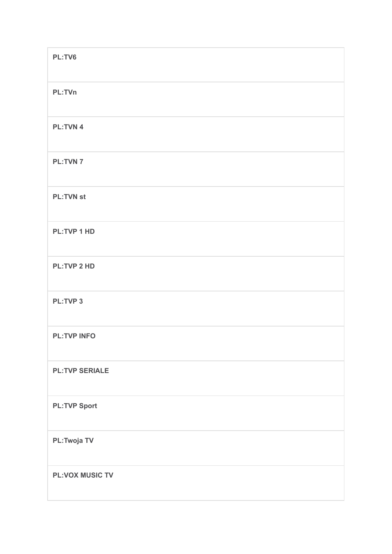| PL:TV6                 |
|------------------------|
| PL:TVn                 |
| <b>PL:TVN4</b>         |
| <b>PL:TVN7</b>         |
| <b>PL:TVN st</b>       |
| <b>PL:TVP 1 HD</b>     |
| <b>PL:TVP 2 HD</b>     |
| <b>PL:TVP3</b>         |
| <b>PL:TVP INFO</b>     |
| <b>PL:TVP SERIALE</b>  |
| <b>PL:TVP Sport</b>    |
| <b>PL:Twoja TV</b>     |
| <b>PL:VOX MUSIC TV</b> |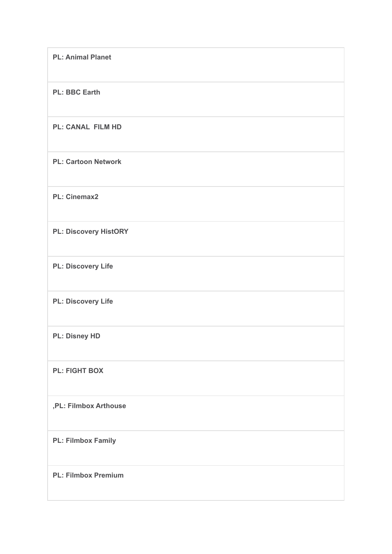| <b>PL: Animal Planet</b>     |
|------------------------------|
| <b>PL: BBC Earth</b>         |
| <b>PL: CANAL FILM HD</b>     |
| <b>PL: Cartoon Network</b>   |
| <b>PL: Cinemax2</b>          |
| <b>PL: Discovery HistORY</b> |
| <b>PL: Discovery Life</b>    |
| <b>PL: Discovery Life</b>    |
| <b>PL: Disney HD</b>         |
| <b>PL: FIGHT BOX</b>         |
| ,PL: Filmbox Arthouse        |
| <b>PL: Filmbox Family</b>    |
| <b>PL: Filmbox Premium</b>   |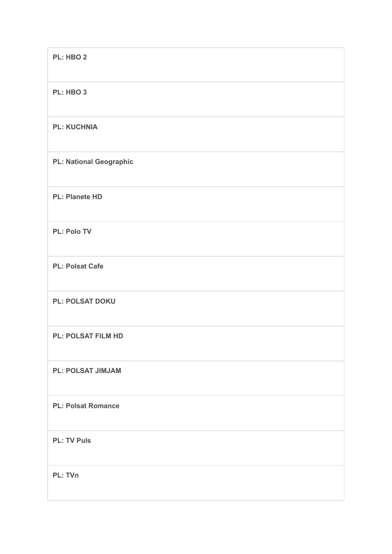| PL: HBO 2                      |
|--------------------------------|
| PL: HBO 3                      |
| <b>PL: KUCHNIA</b>             |
| <b>PL: National Geographic</b> |
| <b>PL: Planete HD</b>          |
| <b>PL: Polo TV</b>             |
| <b>PL: Polsat Cafe</b>         |
| <b>PL: POLSAT DOKU</b>         |
| <b>PL: POLSAT FILM HD</b>      |
| <b>PL: POLSAT JIMJAM</b>       |
| <b>PL: Polsat Romance</b>      |
| <b>PL: TV Puls</b>             |
| PL: TVn                        |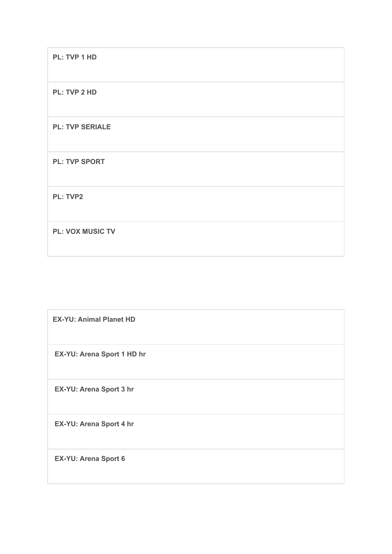**PL: TVP 1 HD**

**PL: TVP 2 HD**

**PL: TVP SERIALE**

**PL: TVP SPORT**

**PL: TVP2**

**PL: VOX MUSIC TV**

**EX-YU: Animal Planet HD**

**EX-YU: Arena Sport 1 HD hr**

**EX-YU: Arena Sport 3 hr**

**EX-YU: Arena Sport 4 hr**

**EX-YU: Arena Sport 6**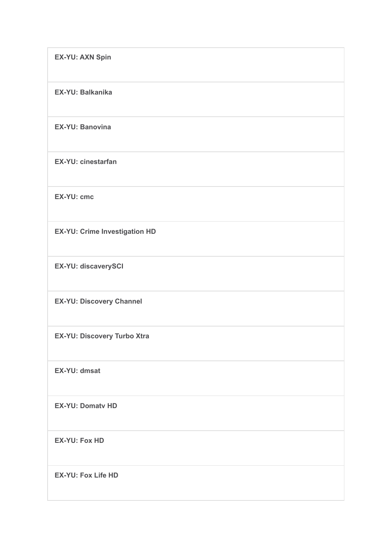| <b>EX-YU: AXN Spin</b>          |
|---------------------------------|
| <b>EX-YU: Balkanika</b>         |
| <b>EX-YU: Banovina</b>          |
| <b>EX-YU: cinestarfan</b>       |
| <b>EX-YU: cmc</b>               |
| EX-YU: Crime Investigation HD   |
| EX-YU: discaverySCI             |
| <b>EX-YU: Discovery Channel</b> |
| EX-YU: Discovery Turbo Xtra     |
| EX-YU: dmsat                    |
| <b>EX-YU: Domatv HD</b>         |
| <b>EX-YU: Fox HD</b>            |
| <b>EX-YU: Fox Life HD</b>       |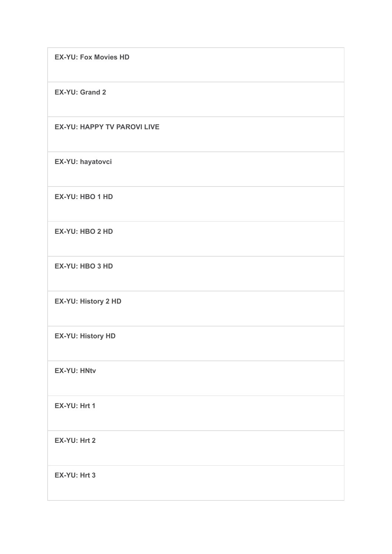**EX-YU: Fox Movies HD**

**EX-YU: Grand 2**

## **EX-YU: HAPPY TV PAROVI LIVE**

**EX-YU: hayatovci**

**EX-YU: HBO 1 HD**

**EX-YU: HBO 2 HD**

**EX-YU: HBO 3 HD**

**EX-YU: History 2 HD**

**EX-YU: History HD**

**EX-YU: HNtv**

**EX-YU: Hrt 1**

**EX-YU: Hrt 2**

**EX-YU: Hrt 3**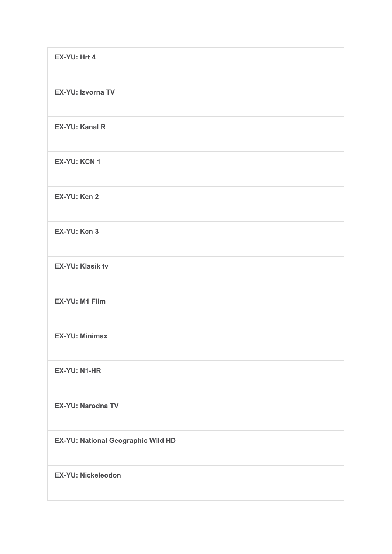| EX-YU: Hrt 4                       |
|------------------------------------|
| <b>EX-YU: Izvorna TV</b>           |
| <b>EX-YU: Kanal R</b>              |
| <b>EX-YU: KCN 1</b>                |
| EX-YU: Kcn 2                       |
| EX-YU: Kcn 3                       |
| <b>EX-YU: Klasik tv</b>            |
| EX-YU: M1 Film                     |
| <b>EX-YU: Minimax</b>              |
| EX-YU: N1-HR                       |
| <b>EX-YU: Narodna TV</b>           |
| EX-YU: National Geographic Wild HD |
| <b>EX-YU: Nickeleodon</b>          |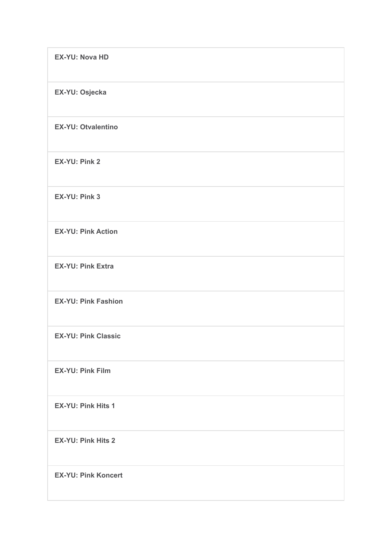| <b>EX-YU: Nova HD</b>      |
|----------------------------|
| EX-YU: Osjecka             |
| <b>EX-YU: Otvalentino</b>  |
| <b>EX-YU: Pink 2</b>       |
| <b>EX-YU: Pink 3</b>       |
| <b>EX-YU: Pink Action</b>  |
| <b>EX-YU: Pink Extra</b>   |
| <b>EX-YU: Pink Fashion</b> |
| <b>EX-YU: Pink Classic</b> |
| <b>EX-YU: Pink Film</b>    |
| <b>EX-YU: Pink Hits 1</b>  |
| <b>EX-YU: Pink Hits 2</b>  |
| <b>EX-YU: Pink Koncert</b> |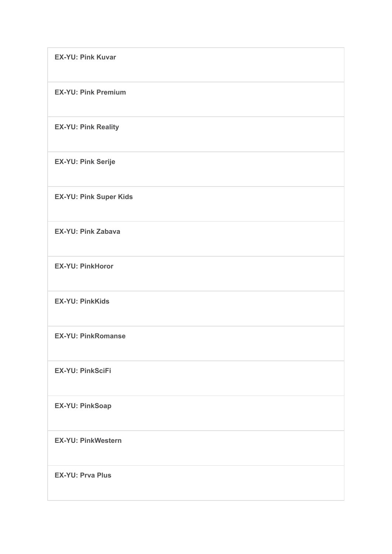| <b>EX-YU: Pink Kuvar</b>      |
|-------------------------------|
| <b>EX-YU: Pink Premium</b>    |
| <b>EX-YU: Pink Reality</b>    |
| <b>EX-YU: Pink Serije</b>     |
| <b>EX-YU: Pink Super Kids</b> |
| <b>EX-YU: Pink Zabava</b>     |
| <b>EX-YU: PinkHoror</b>       |
| <b>EX-YU: PinkKids</b>        |
| <b>EX-YU: PinkRomanse</b>     |
| <b>EX-YU: PinkSciFi</b>       |
| <b>EX-YU: PinkSoap</b>        |
| <b>EX-YU: PinkWestern</b>     |
| <b>EX-YU: Prva Plus</b>       |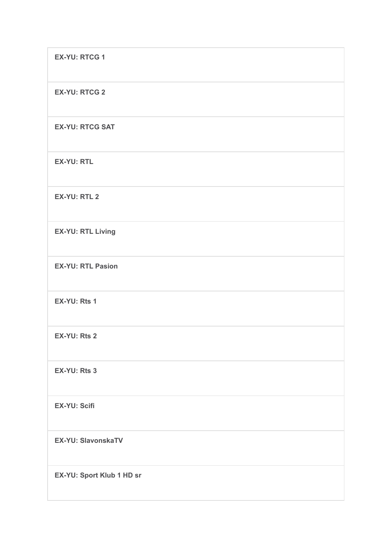| <b>EX-YU: RTCG 1</b>      |
|---------------------------|
| <b>EX-YU: RTCG 2</b>      |
| <b>EX-YU: RTCG SAT</b>    |
| <b>EX-YU: RTL</b>         |
| <b>EX-YU: RTL 2</b>       |
| <b>EX-YU: RTL Living</b>  |
| <b>EX-YU: RTL Pasion</b>  |
| EX-YU: Rts 1              |
| EX-YU: Rts 2              |
| EX-YU: Rts 3              |
| <b>EX-YU: Scifi</b>       |
| <b>EX-YU: SlavonskaTV</b> |
| EX-YU: Sport Klub 1 HD sr |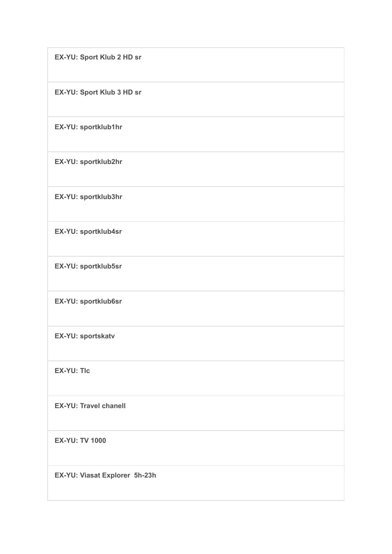| EX-YU: Sport Klub 2 HD sr     |
|-------------------------------|
| EX-YU: Sport Klub 3 HD sr     |
| EX-YU: sportklub1hr           |
| EX-YU: sportklub2hr           |
| EX-YU: sportklub3hr           |
| EX-YU: sportklub4sr           |
| EX-YU: sportklub5sr           |
| EX-YU: sportklub6sr           |
| EX-YU: sportskatv             |
| <b>EX-YU: Tlc</b>             |
| <b>EX-YU: Travel chanell</b>  |
| <b>EX-YU: TV 1000</b>         |
| EX-YU: Viasat Explorer 5h-23h |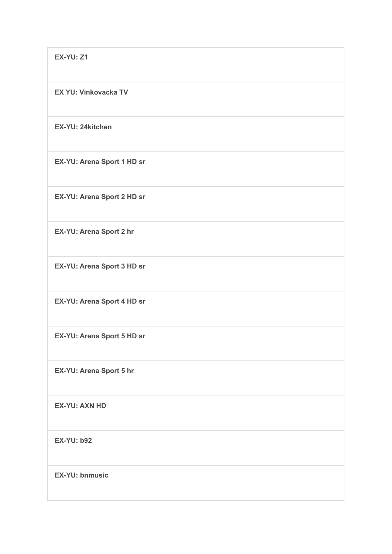**EX-YU: Z1**

**EX YU: Vinkovacka TV**

**EX-YU: 24kitchen**

**EX-YU: Arena Sport 1 HD sr**

**EX-YU: Arena Sport 2 HD sr**

**EX-YU: Arena Sport 2 hr**

**EX-YU: Arena Sport 3 HD sr**

**EX-YU: Arena Sport 4 HD sr**

**EX-YU: Arena Sport 5 HD sr**

**EX-YU: Arena Sport 5 hr**

**EX-YU: AXN HD**

**EX-YU: b92**

**EX-YU: bnmusic**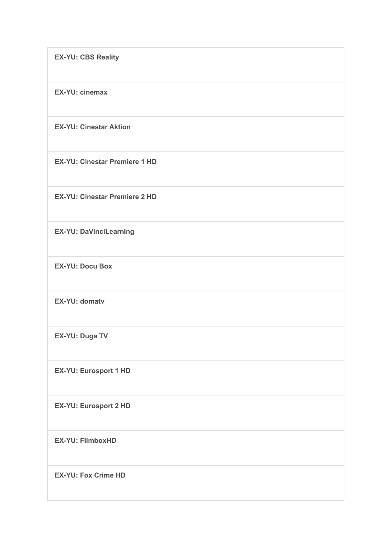**EX-YU: CBS Reality**

**EX-YU: cinemax**

**EX-YU: Cinestar Aktion**

**EX-YU: Cinestar Premiere 1 HD**

**EX-YU: Cinestar Premiere 2 HD**

**EX-YU: DaVinciLearning**

**EX-YU: Docu Box**

**EX-YU: domatv**

**EX-YU: Duga TV**

**EX-YU: Eurosport 1 HD**

**EX-YU: Eurosport 2 HD**

**EX-YU: FilmboxHD**

**EX-YU: Fox Crime HD**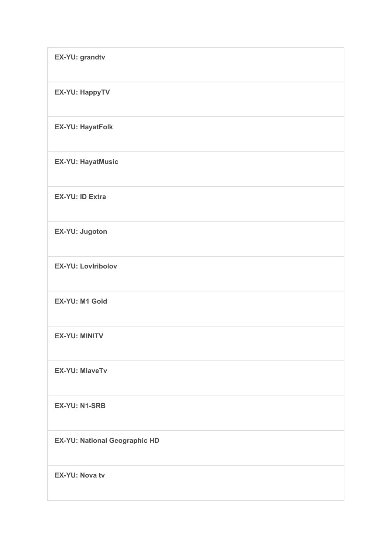| EX-YU: grandtv                |
|-------------------------------|
| <b>EX-YU: HappyTV</b>         |
| <b>EX-YU: HayatFolk</b>       |
| <b>EX-YU: HayatMusic</b>      |
| <b>EX-YU: ID Extra</b>        |
| EX-YU: Jugoton                |
| <b>EX-YU: Loviribolov</b>     |
| EX-YU: M1 Gold                |
| <b>EX-YU: MINITV</b>          |
| <b>EX-YU: MlaveTv</b>         |
| <b>EX-YU: N1-SRB</b>          |
| EX-YU: National Geographic HD |
| <b>EX-YU: Nova tv</b>         |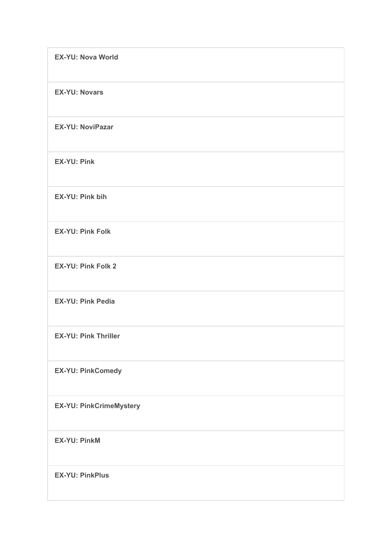| <b>EX-YU: Nova World</b>       |
|--------------------------------|
| <b>EX-YU: Novars</b>           |
| <b>EX-YU: NoviPazar</b>        |
| <b>EX-YU: Pink</b>             |
| <b>EX-YU: Pink bih</b>         |
| <b>EX-YU: Pink Folk</b>        |
| <b>EX-YU: Pink Folk 2</b>      |
| <b>EX-YU: Pink Pedia</b>       |
| <b>EX-YU: Pink Thriller</b>    |
| <b>EX-YU: PinkComedy</b>       |
| <b>EX-YU: PinkCrimeMystery</b> |
| <b>EX-YU: PinkM</b>            |
| <b>EX-YU: PinkPlus</b>         |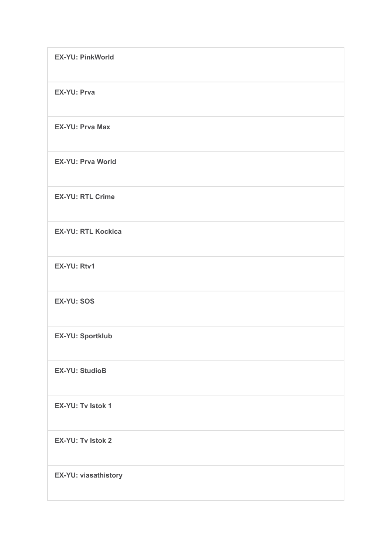| <b>EX-YU: PinkWorld</b>   |
|---------------------------|
| <b>EX-YU: Prva</b>        |
| <b>EX-YU: Prva Max</b>    |
| <b>EX-YU: Prva World</b>  |
| <b>EX-YU: RTL Crime</b>   |
| <b>EX-YU: RTL Kockica</b> |
| EX-YU: Rtv1               |
| <b>EX-YU: SOS</b>         |
| <b>EX-YU: Sportklub</b>   |
| <b>EX-YU: StudioB</b>     |
| <b>EX-YU: Tv Istok 1</b>  |
| <b>EX-YU: Tv Istok 2</b>  |
| EX-YU: viasathistory      |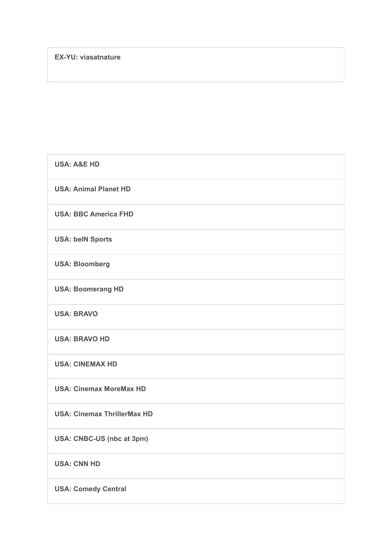| <b>USA: A&amp;E HD</b>             |
|------------------------------------|
| <b>USA: Animal Planet HD</b>       |
| <b>USA: BBC America FHD</b>        |
| <b>USA: belN Sports</b>            |
| <b>USA: Bloomberg</b>              |
| <b>USA: Boomerang HD</b>           |
| <b>USA: BRAVO</b>                  |
| <b>USA: BRAVO HD</b>               |
| <b>USA: CINEMAX HD</b>             |
| <b>USA: Cinemax MoreMax HD</b>     |
| <b>USA: Cinemax ThrillerMax HD</b> |
| USA: CNBC-US (nbc at 3pm)          |
| <b>USA: CNN HD</b>                 |
| <b>USA: Comedy Central</b>         |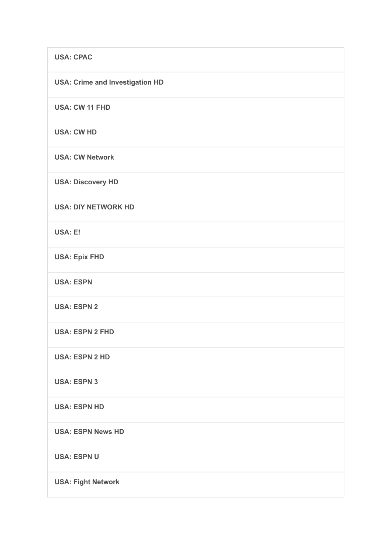| <b>USA: CPAC</b>                       |
|----------------------------------------|
| <b>USA: Crime and Investigation HD</b> |
| USA: CW 11 FHD                         |
| <b>USA: CW HD</b>                      |
| <b>USA: CW Network</b>                 |
| <b>USA: Discovery HD</b>               |
| <b>USA: DIY NETWORK HD</b>             |
| USA: E!                                |
| <b>USA: Epix FHD</b>                   |
| <b>USA: ESPN</b>                       |
| <b>USA: ESPN 2</b>                     |
| <b>USA: ESPN 2 FHD</b>                 |
| <b>USA: ESPN 2 HD</b>                  |
| <b>USA: ESPN 3</b>                     |
| <b>USA: ESPN HD</b>                    |
| <b>USA: ESPN News HD</b>               |
| <b>USA: ESPN U</b>                     |
| <b>USA: Fight Network</b>              |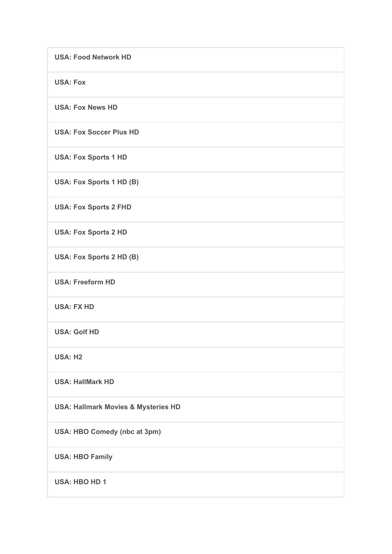| <b>USA: Food Network HD</b>                    |
|------------------------------------------------|
| <b>USA: Fox</b>                                |
| <b>USA: Fox News HD</b>                        |
| <b>USA: Fox Soccer Plus HD</b>                 |
| <b>USA: Fox Sports 1 HD</b>                    |
| USA: Fox Sports 1 HD (B)                       |
| <b>USA: Fox Sports 2 FHD</b>                   |
| <b>USA: Fox Sports 2 HD</b>                    |
| USA: Fox Sports 2 HD (B)                       |
| <b>USA: Freeform HD</b>                        |
| <b>USA: FX HD</b>                              |
| <b>USA: Golf HD</b>                            |
| <b>USA: H2</b>                                 |
| <b>USA: HallMark HD</b>                        |
| <b>USA: Hallmark Movies &amp; Mysteries HD</b> |
| USA: HBO Comedy (nbc at 3pm)                   |
| <b>USA: HBO Family</b>                         |
| <b>USA: HBO HD 1</b>                           |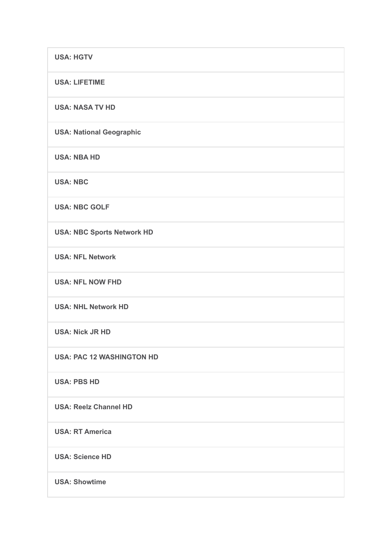| <b>USA: HGTV</b>                  |
|-----------------------------------|
| <b>USA: LIFETIME</b>              |
| <b>USA: NASA TV HD</b>            |
| <b>USA: National Geographic</b>   |
| <b>USA: NBA HD</b>                |
| <b>USA: NBC</b>                   |
| <b>USA: NBC GOLF</b>              |
| <b>USA: NBC Sports Network HD</b> |
| <b>USA: NFL Network</b>           |
| <b>USA: NFL NOW FHD</b>           |
| <b>USA: NHL Network HD</b>        |
| <b>USA: Nick JR HD</b>            |
| <b>USA: PAC 12 WASHINGTON HD</b>  |
| <b>USA: PBS HD</b>                |
| <b>USA: Reelz Channel HD</b>      |
| <b>USA: RT America</b>            |
| <b>USA: Science HD</b>            |
| <b>USA: Showtime</b>              |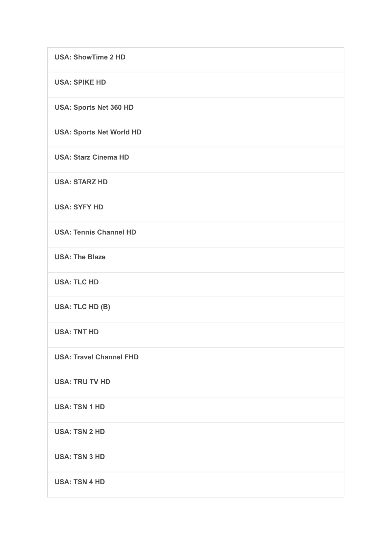| <b>USA: ShowTime 2 HD</b>       |
|---------------------------------|
| <b>USA: SPIKE HD</b>            |
| <b>USA: Sports Net 360 HD</b>   |
| <b>USA: Sports Net World HD</b> |
| <b>USA: Starz Cinema HD</b>     |
| <b>USA: STARZ HD</b>            |
| <b>USA: SYFY HD</b>             |
| <b>USA: Tennis Channel HD</b>   |
| <b>USA: The Blaze</b>           |
| <b>USA: TLC HD</b>              |
| USA: TLC HD (B)                 |
| <b>USA: TNT HD</b>              |
| <b>USA: Travel Channel FHD</b>  |
| <b>USA: TRU TV HD</b>           |
| <b>USA: TSN 1 HD</b>            |
| <b>USA: TSN 2 HD</b>            |
| <b>USA: TSN 3 HD</b>            |
| <b>USA: TSN 4 HD</b>            |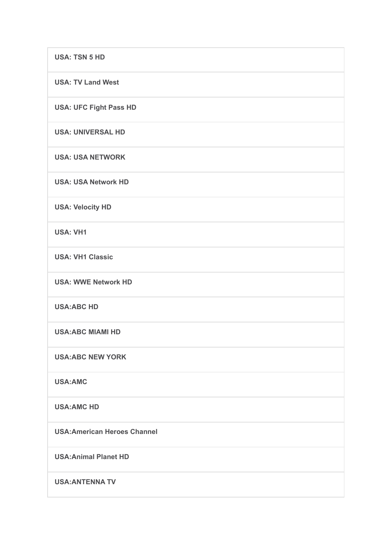| <b>USA: TSN 5 HD</b>                |
|-------------------------------------|
| <b>USA: TV Land West</b>            |
| <b>USA: UFC Fight Pass HD</b>       |
| <b>USA: UNIVERSAL HD</b>            |
| <b>USA: USA NETWORK</b>             |
| <b>USA: USA Network HD</b>          |
| <b>USA: Velocity HD</b>             |
| <b>USA: VH1</b>                     |
| <b>USA: VH1 Classic</b>             |
| <b>USA: WWE Network HD</b>          |
| <b>USA:ABC HD</b>                   |
| <b>USA:ABC MIAMI HD</b>             |
| <b>USA:ABC NEW YORK</b>             |
| <b>USA:AMC</b>                      |
| <b>USA:AMC HD</b>                   |
| <b>USA: American Heroes Channel</b> |
| <b>USA: Animal Planet HD</b>        |
| <b>USA: ANTENNA TV</b>              |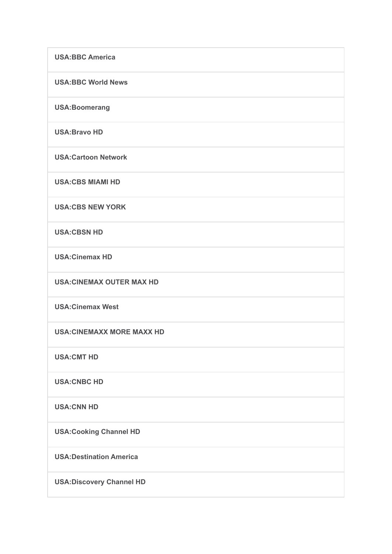| <b>USA:BBC America</b>           |
|----------------------------------|
| <b>USA:BBC World News</b>        |
| <b>USA:Boomerang</b>             |
| <b>USA:Bravo HD</b>              |
| <b>USA:Cartoon Network</b>       |
| <b>USA:CBS MIAMI HD</b>          |
| <b>USA:CBS NEW YORK</b>          |
| <b>USA:CBSN HD</b>               |
| <b>USA:Cinemax HD</b>            |
| <b>USA:CINEMAX OUTER MAX HD</b>  |
| <b>USA:Cinemax West</b>          |
| <b>USA:CINEMAXX MORE MAXX HD</b> |
| <b>USA:CMT HD</b>                |
| <b>USA:CNBC HD</b>               |
| <b>USA:CNN HD</b>                |
| <b>USA:Cooking Channel HD</b>    |
| <b>USA: Destination America</b>  |
| <b>USA:Discovery Channel HD</b>  |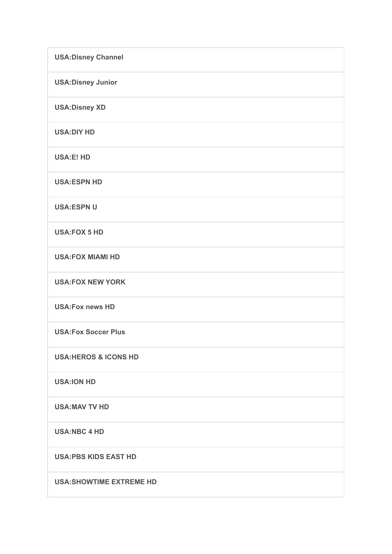| <b>USA: Disney Channel</b>      |
|---------------------------------|
| <b>USA:Disney Junior</b>        |
| <b>USA:Disney XD</b>            |
| <b>USA:DIY HD</b>               |
| <b>USA:E! HD</b>                |
| <b>USA:ESPN HD</b>              |
| <b>USA:ESPN U</b>               |
| <b>USA:FOX 5 HD</b>             |
| <b>USA:FOX MIAMI HD</b>         |
| <b>USA:FOX NEW YORK</b>         |
| <b>USA:Fox news HD</b>          |
| <b>USA:Fox Soccer Plus</b>      |
| <b>USA:HEROS &amp; ICONS HD</b> |
| <b>USA:ION HD</b>               |
| <b>USA:MAV TV HD</b>            |
| <b>USA:NBC 4 HD</b>             |
| <b>USA:PBS KIDS EAST HD</b>     |
| <b>USA:SHOWTIME EXTREME HD</b>  |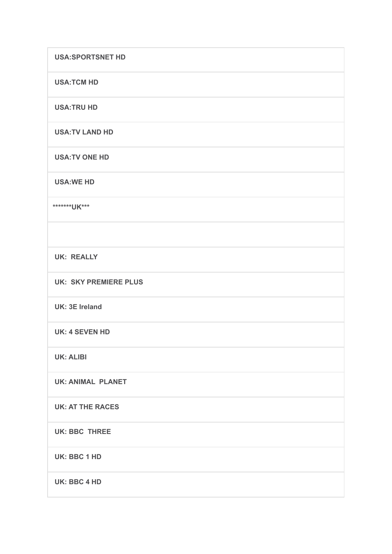| <b>USA:SPORTSNET HD</b>      |
|------------------------------|
| <b>USA:TCM HD</b>            |
| <b>USA:TRU HD</b>            |
| <b>USA:TV LAND HD</b>        |
| <b>USA:TV ONE HD</b>         |
| <b>USA:WE HD</b>             |
| ********UK***                |
|                              |
| <b>UK: REALLY</b>            |
| <b>UK: SKY PREMIERE PLUS</b> |
| <b>UK: 3E Ireland</b>        |
| <b>UK: 4 SEVEN HD</b>        |
| <b>UK: ALIBI</b>             |
| <b>UK: ANIMAL PLANET</b>     |
| <b>UK: AT THE RACES</b>      |
| <b>UK: BBC THREE</b>         |
| UK: BBC 1 HD                 |
| <b>UK: BBC 4 HD</b>          |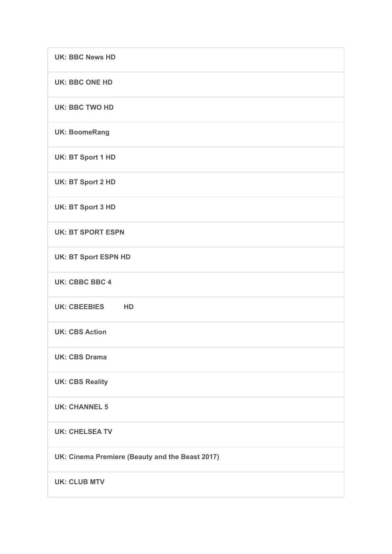| <b>UK: BBC News HD</b>                          |
|-------------------------------------------------|
| <b>UK: BBC ONE HD</b>                           |
| <b>UK: BBC TWO HD</b>                           |
| <b>UK: BoomeRang</b>                            |
| <b>UK: BT Sport 1 HD</b>                        |
| <b>UK: BT Sport 2 HD</b>                        |
| <b>UK: BT Sport 3 HD</b>                        |
| <b>UK: BT SPORT ESPN</b>                        |
| <b>UK: BT Sport ESPN HD</b>                     |
| <b>UK: CBBC BBC 4</b>                           |
| UK: CBEEBIES HD                                 |
| <b>UK: CBS Action</b>                           |
| <b>UK: CBS Drama</b>                            |
| <b>UK: CBS Reality</b>                          |
| <b>UK: CHANNEL 5</b>                            |
| <b>UK: CHELSEA TV</b>                           |
| UK: Cinema Premiere (Beauty and the Beast 2017) |
| <b>UK: CLUB MTV</b>                             |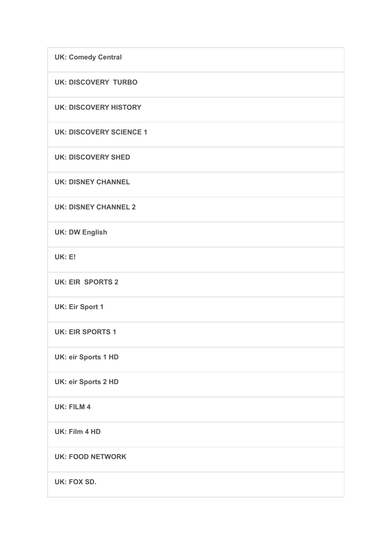| <b>UK: Comedy Central</b>      |
|--------------------------------|
| <b>UK: DISCOVERY TURBO</b>     |
| <b>UK: DISCOVERY HISTORY</b>   |
| <b>UK: DISCOVERY SCIENCE 1</b> |
| <b>UK: DISCOVERY SHED</b>      |
| <b>UK: DISNEY CHANNEL</b>      |
| <b>UK: DISNEY CHANNEL 2</b>    |
| <b>UK: DW English</b>          |
| <b>UK: E!</b>                  |
| <b>UK: EIR SPORTS 2</b>        |
| <b>UK: Eir Sport 1</b>         |
| <b>UK: EIR SPORTS 1</b>        |
| <b>UK: eir Sports 1 HD</b>     |
| <b>UK: eir Sports 2 HD</b>     |
| <b>UK: FILM 4</b>              |
| UK: Film 4 HD                  |
| <b>UK: FOOD NETWORK</b>        |
| <b>UK: FOX SD.</b>             |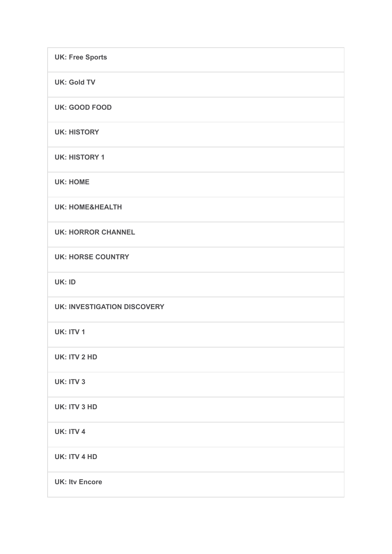| <b>UK: Free Sports</b>             |
|------------------------------------|
| <b>UK: Gold TV</b>                 |
| <b>UK: GOOD FOOD</b>               |
| <b>UK: HISTORY</b>                 |
| <b>UK: HISTORY 1</b>               |
| <b>UK: HOME</b>                    |
| <b>UK: HOME&amp;HEALTH</b>         |
| <b>UK: HORROR CHANNEL</b>          |
| <b>UK: HORSE COUNTRY</b>           |
| UK: ID                             |
| <b>UK: INVESTIGATION DISCOVERY</b> |
| <b>UK: ITV 1</b>                   |
| UK: ITV 2 HD                       |
| UK: ITV 3                          |
| <b>UK: ITV 3 HD</b>                |
| UK: ITV 4                          |
| <b>UK: ITV 4 HD</b>                |
| <b>UK: Itv Encore</b>              |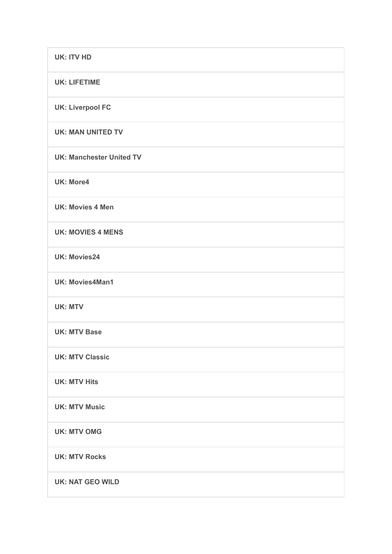| <b>UK: ITV HD</b>               |
|---------------------------------|
| <b>UK: LIFETIME</b>             |
| <b>UK: Liverpool FC</b>         |
| <b>UK: MAN UNITED TV</b>        |
| <b>UK: Manchester United TV</b> |
| <b>UK: More4</b>                |
| <b>UK: Movies 4 Men</b>         |
| <b>UK: MOVIES 4 MENS</b>        |
| <b>UK: Movies24</b>             |
| <b>UK: Movies4Man1</b>          |
| <b>UK: MTV</b>                  |
| <b>UK: MTV Base</b>             |
| <b>UK: MTV Classic</b>          |
| <b>UK: MTV Hits</b>             |
| <b>UK: MTV Music</b>            |
| <b>UK: MTV OMG</b>              |
| <b>UK: MTV Rocks</b>            |
| <b>UK: NAT GEO WILD</b>         |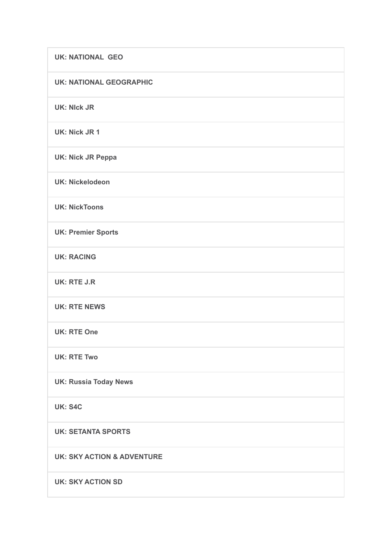| <b>UK: NATIONAL GEO</b>               |
|---------------------------------------|
| <b>UK: NATIONAL GEOGRAPHIC</b>        |
| <b>UK: NIck JR</b>                    |
| <b>UK: Nick JR 1</b>                  |
| <b>UK: Nick JR Peppa</b>              |
| <b>UK: Nickelodeon</b>                |
| <b>UK: NickToons</b>                  |
| <b>UK: Premier Sports</b>             |
| <b>UK: RACING</b>                     |
| <b>UK: RTE J.R</b>                    |
| <b>UK: RTE NEWS</b>                   |
| <b>UK: RTE One</b>                    |
| <b>UK: RTE Two</b>                    |
| <b>UK: Russia Today News</b>          |
| <b>UK: S4C</b>                        |
| <b>UK: SETANTA SPORTS</b>             |
| <b>UK: SKY ACTION &amp; ADVENTURE</b> |
| <b>UK: SKY ACTION SD</b>              |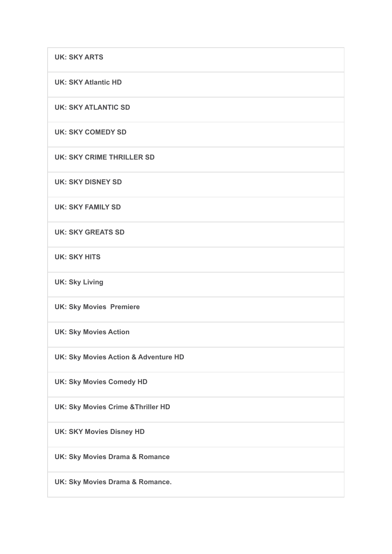| <b>UK: SKY ARTS</b>                             |
|-------------------------------------------------|
| <b>UK: SKY Atlantic HD</b>                      |
| <b>UK: SKY ATLANTIC SD</b>                      |
| <b>UK: SKY COMEDY SD</b>                        |
| <b>UK: SKY CRIME THRILLER SD</b>                |
| <b>UK: SKY DISNEY SD</b>                        |
| <b>UK: SKY FAMILY SD</b>                        |
| <b>UK: SKY GREATS SD</b>                        |
| <b>UK: SKY HITS</b>                             |
| <b>UK: Sky Living</b>                           |
| <b>UK: Sky Movies Premiere</b>                  |
| <b>UK: Sky Movies Action</b>                    |
| <b>UK: Sky Movies Action &amp; Adventure HD</b> |
| <b>UK: Sky Movies Comedy HD</b>                 |
| UK: Sky Movies Crime & Thriller HD              |
| <b>UK: SKY Movies Disney HD</b>                 |
| <b>UK: Sky Movies Drama &amp; Romance</b>       |
| UK: Sky Movies Drama & Romance.                 |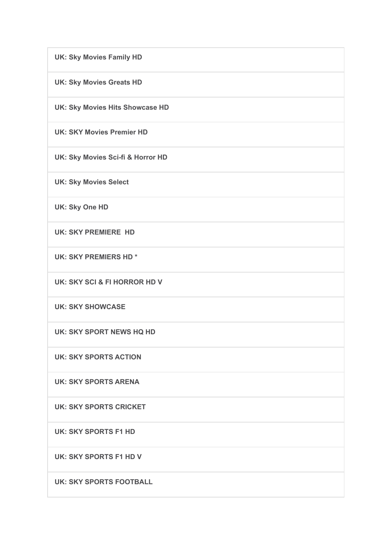**UK: Sky Movies Family HD UK: Sky Movies Greats HD UK: Sky Movies Hits Showcase HD UK: SKY Movies Premier HD UK: Sky Movies Sci-fi & Horror HD UK: Sky Movies Select UK: Sky One HD UK: SKY PREMIERE HD UK: SKY PREMIERS HD \* UK: SKY SCI & FI HORROR HD V UK: SKY SHOWCASE UK: SKY SPORT NEWS HQ HD UK: SKY SPORTS ACTION UK: SKY SPORTS ARENA UK: SKY SPORTS CRICKET UK: SKY SPORTS F1 HD UK: SKY SPORTS F1 HD V UK: SKY SPORTS FOOTBALL**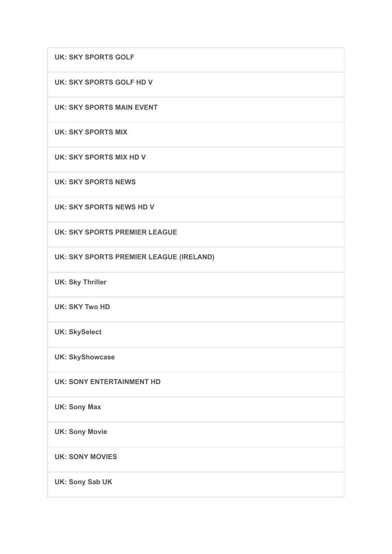**UK: SKY SPORTS GOLF**

**UK: SKY SPORTS GOLF HD V**

**UK: SKY SPORTS MAIN EVENT**

**UK: SKY SPORTS MIX**

**UK: SKY SPORTS MIX HD V**

**UK: SKY SPORTS NEWS**

**UK: SKY SPORTS NEWS HD V**

**UK: SKY SPORTS PREMIER LEAGUE**

**UK: SKY SPORTS PREMIER LEAGUE (IRELAND)**

**UK: Sky Thriller**

**UK: SKY Two HD**

**UK: SkySelect**

**UK: SkyShowcase**

**UK: SONY ENTERTAINMENT HD**

**UK: Sony Max**

**UK: Sony Movie**

**UK: SONY MOVIES**

**UK: Sony Sab UK**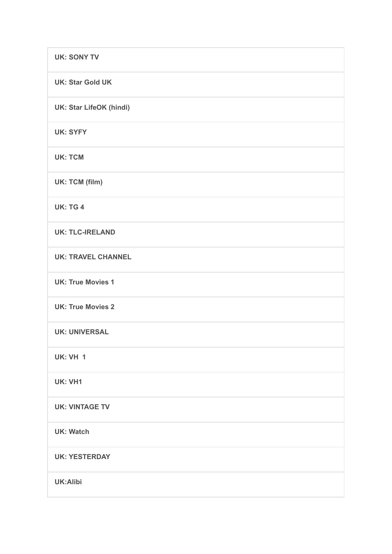| <b>UK: SONY TV</b>             |
|--------------------------------|
| <b>UK: Star Gold UK</b>        |
| <b>UK: Star LifeOK (hindi)</b> |
| <b>UK: SYFY</b>                |
| <b>UK: TCM</b>                 |
| UK: TCM (film)                 |
| <b>UK: TG 4</b>                |
| <b>UK: TLC-IRELAND</b>         |
| <b>UK: TRAVEL CHANNEL</b>      |
| <b>UK: True Movies 1</b>       |
| <b>UK: True Movies 2</b>       |
| <b>UK: UNIVERSAL</b>           |
| <b>UK: VH 1</b>                |
| UK: VH1                        |
| <b>UK: VINTAGE TV</b>          |
| <b>UK: Watch</b>               |
| <b>UK: YESTERDAY</b>           |
| <b>UK:Alibi</b>                |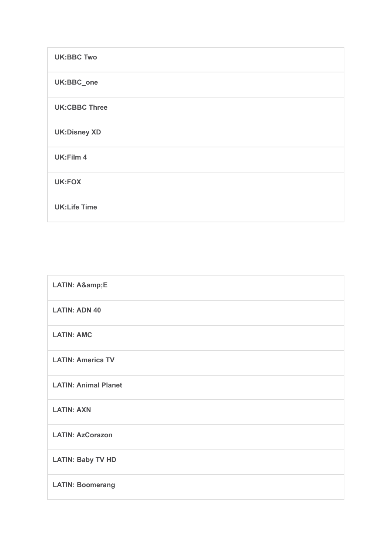| <b>UK:BBC Two</b>    |
|----------------------|
| UK:BBC_one           |
| <b>UK:CBBC Three</b> |
| <b>UK:Disney XD</b>  |
| UK:Film 4            |
| <b>UK:FOX</b>        |
| <b>UK:Life Time</b>  |

| LATIN: A&E                  |
|-----------------------------|
| <b>LATIN: ADN 40</b>        |
| <b>LATIN: AMC</b>           |
| <b>LATIN: America TV</b>    |
| <b>LATIN: Animal Planet</b> |
| <b>LATIN: AXN</b>           |
| <b>LATIN: AzCorazon</b>     |
| <b>LATIN: Baby TV HD</b>    |
| <b>LATIN: Boomerang</b>     |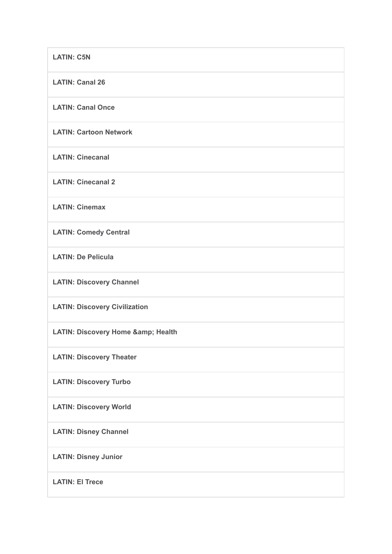| <b>LATIN: C5N</b>                         |
|-------------------------------------------|
| <b>LATIN: Canal 26</b>                    |
| <b>LATIN: Canal Once</b>                  |
| <b>LATIN: Cartoon Network</b>             |
| <b>LATIN: Cinecanal</b>                   |
| <b>LATIN: Cinecanal 2</b>                 |
| <b>LATIN: Cinemax</b>                     |
| <b>LATIN: Comedy Central</b>              |
| <b>LATIN: De Pelicula</b>                 |
| <b>LATIN: Discovery Channel</b>           |
| <b>LATIN: Discovery Civilization</b>      |
| <b>LATIN: Discovery Home &amp; Health</b> |
| <b>LATIN: Discovery Theater</b>           |
| <b>LATIN: Discovery Turbo</b>             |
| <b>LATIN: Discovery World</b>             |
| <b>LATIN: Disney Channel</b>              |
| <b>LATIN: Disney Junior</b>               |
| <b>LATIN: El Trece</b>                    |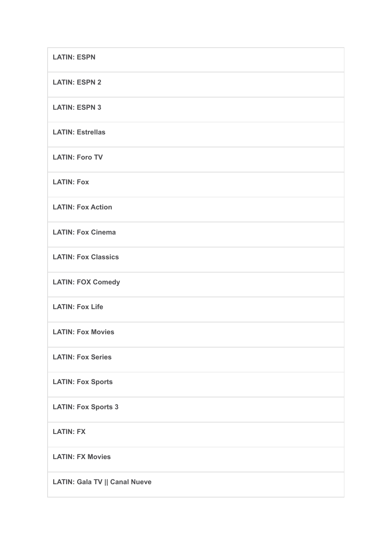| <b>LATIN: ESPN</b>                   |
|--------------------------------------|
| <b>LATIN: ESPN 2</b>                 |
| <b>LATIN: ESPN 3</b>                 |
| <b>LATIN: Estrellas</b>              |
| <b>LATIN: Foro TV</b>                |
| <b>LATIN: Fox</b>                    |
| <b>LATIN: Fox Action</b>             |
| <b>LATIN: Fox Cinema</b>             |
| <b>LATIN: Fox Classics</b>           |
| <b>LATIN: FOX Comedy</b>             |
| <b>LATIN: Fox Life</b>               |
| <b>LATIN: Fox Movies</b>             |
| <b>LATIN: Fox Series</b>             |
| <b>LATIN: Fox Sports</b>             |
| <b>LATIN: Fox Sports 3</b>           |
| <b>LATIN: FX</b>                     |
| <b>LATIN: FX Movies</b>              |
| <b>LATIN: Gala TV    Canal Nueve</b> |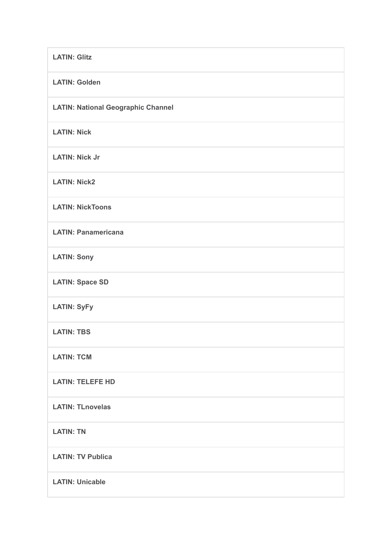| <b>LATIN: Glitz</b>                       |
|-------------------------------------------|
| <b>LATIN: Golden</b>                      |
| <b>LATIN: National Geographic Channel</b> |
| <b>LATIN: Nick</b>                        |
| <b>LATIN: Nick Jr</b>                     |
| <b>LATIN: Nick2</b>                       |
| <b>LATIN: NickToons</b>                   |
| <b>LATIN: Panamericana</b>                |
| <b>LATIN: Sony</b>                        |
| <b>LATIN: Space SD</b>                    |
| <b>LATIN: SyFy</b>                        |
| <b>LATIN: TBS</b>                         |
| <b>LATIN: TCM</b>                         |
| <b>LATIN: TELEFE HD</b>                   |
| <b>LATIN: TLnovelas</b>                   |
| <b>LATIN: TN</b>                          |
| <b>LATIN: TV Publica</b>                  |
| <b>LATIN: Unicable</b>                    |